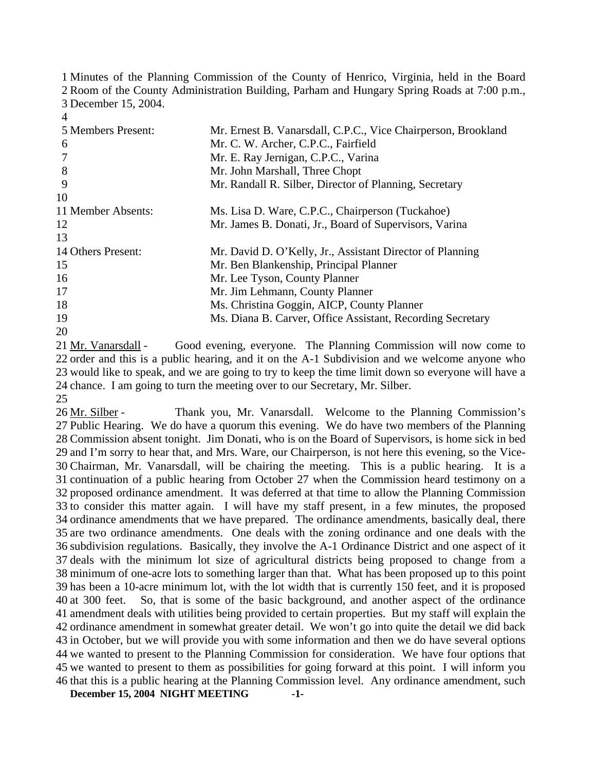1 Minutes of the Planning Commission of the County of Henrico, Virginia, held in the Board 2 Room of the County Administration Building, Parham and Hungary Spring Roads at 7:00 p.m., 3 December 15, 2004.

5 Members Present: 6 7 8 9 10 11 Member Absents: 12 13 14 Others Present: 15 16 17 18 19 20 Mr. Ernest B. Vanarsdall, C.P.C., Vice Chairperson, Brookland Mr. C. W. Archer, C.P.C., Fairfield Mr. E. Ray Jernigan, C.P.C., Varina Mr. John Marshall, Three Chopt Mr. Randall R. Silber, Director of Planning, Secretary Ms. Lisa D. Ware, C.P.C., Chairperson (Tuckahoe) Mr. James B. Donati, Jr., Board of Supervisors, Varina Mr. David D. O'Kelly, Jr., Assistant Director of Planning Mr. Ben Blankenship, Principal Planner Mr. Lee Tyson, County Planner Mr. Jim Lehmann, County Planner Ms. Christina Goggin, AICP, County Planner Ms. Diana B. Carver, Office Assistant, Recording Secretary

Good evening, everyone. The Planning Commission will now come to 22 order and this is a public hearing, and it on the A-1 Subdivision and we welcome anyone who 23 would like to speak, and we are going to try to keep the time limit down so everyone will have a 24 chance. I am going to turn the meeting over to our Secretary, Mr. Silber. 21 Mr. Vanarsdall -

25

4

Thank you, Mr. Vanarsdall. Welcome to the Planning Commission's 27 Public Hearing. We do have a quorum this evening. We do have two members of the Planning 28 Commission absent tonight. Jim Donati, who is on the Board of Supervisors, is home sick in bed 29 and I'm sorry to hear that, and Mrs. Ware, our Chairperson, is not here this evening, so the Vice-Chairman, Mr. Vanarsdall, will be chairing the meeting. This is a public hearing. It is a 30 31 continuation of a public hearing from October 27 when the Commission heard testimony on a 32 proposed ordinance amendment. It was deferred at that time to allow the Planning Commission 33 to consider this matter again. I will have my staff present, in a few minutes, the proposed 34 ordinance amendments that we have prepared. The ordinance amendments, basically deal, there 35 are two ordinance amendments. One deals with the zoning ordinance and one deals with the 36 subdivision regulations. Basically, they involve the A-1 Ordinance District and one aspect of it 37 deals with the minimum lot size of agricultural districts being proposed to change from a 38 minimum of one-acre lots to something larger than that. What has been proposed up to this point 39 has been a 10-acre minimum lot, with the lot width that is currently 150 feet, and it is proposed So, that is some of the basic background, and another aspect of the ordinance 41 amendment deals with utilities being provided to certain properties. But my staff will explain the 42 ordinance amendment in somewhat greater detail. We won't go into quite the detail we did back 43 in October, but we will provide you with some information and then we do have several options 44 we wanted to present to the Planning Commission for consideration. We have four options that 45 we wanted to present to them as possibilities for going forward at this point. I will inform you 46 that this is a public hearing at the Planning Commission level. Any ordinance amendment, such 26 Mr. Silber -40 at 300 feet.

**December 15, 2004 NIGHT MEETING -1-**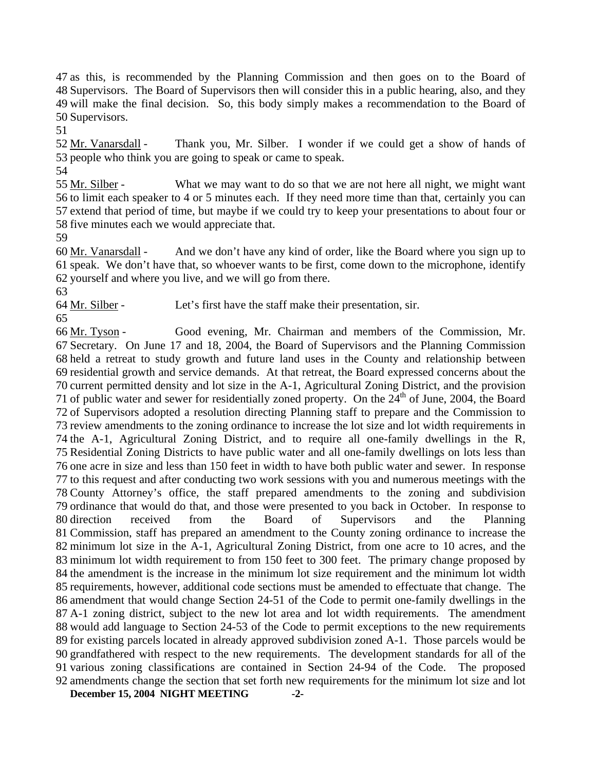as this, is recommended by the Planning Commission and then goes on to the Board of Supervisors. The Board of Supervisors then will consider this in a public hearing, also, and they will make the final decision. So, this body simply makes a recommendation to the Board of Supervisors.

51

Thank you, Mr. Silber. I wonder if we could get a show of hands of 53 people who think you are going to speak or came to speak. 52 Mr. Vanarsdall -

54

What we may want to do so that we are not here all night, we might want 56 to limit each speaker to 4 or 5 minutes each. If they need more time than that, certainly you can 57 extend that period of time, but maybe if we could try to keep your presentations to about four or 58 five minutes each we would appreciate that. 55 Mr. Silber -

59

And we don't have any kind of order, like the Board where you sign up to 61 speak. We don't have that, so whoever wants to be first, come down to the microphone, identify 62 yourself and where you live, and we will go from there. 60 Mr. Vanarsdall -

63

64 Mr. Silber - Let's first have the staff make their presentation, sir.

65

**December 15, 2004 NIGHT MEETING -2-** Good evening, Mr. Chairman and members of the Commission, Mr. 67 Secretary. On June 17 and 18, 2004, the Board of Supervisors and the Planning Commission 68 held a retreat to study growth and future land uses in the County and relationship between 69 residential growth and service demands. At that retreat, the Board expressed concerns about the 70 current permitted density and lot size in the A-1, Agricultural Zoning District, and the provision 71 of public water and sewer for residentially zoned property. On the  $24<sup>th</sup>$  of June, 2004, the Board 66 Mr. Tyson - of Supervisors adopted a resolution directing Planning staff to prepare and the Commission to review amendments to the zoning ordinance to increase the lot size and lot width requirements in the A-1, Agricultural Zoning District, and to require all one-family dwellings in the R, Residential Zoning Districts to have public water and all one-family dwellings on lots less than one acre in size and less than 150 feet in width to have both public water and sewer. In response to this request and after conducting two work sessions with you and numerous meetings with the County Attorney's office, the staff prepared amendments to the zoning and subdivision ordinance that would do that, and those were presented to you back in October. In response to 80 direction Commission, staff has prepared an amendment to the County zoning ordinance to increase the minimum lot size in the A-1, Agricultural Zoning District, from one acre to 10 acres, and the minimum lot width requirement to from 150 feet to 300 feet. The primary change proposed by the amendment is the increase in the minimum lot size requirement and the minimum lot width requirements, however, additional code sections must be amended to effectuate that change. The amendment that would change Section 24-51 of the Code to permit one-family dwellings in the A-1 zoning district, subject to the new lot area and lot width requirements. The amendment would add language to Section 24-53 of the Code to permit exceptions to the new requirements for existing parcels located in already approved subdivision zoned A-1. Those parcels would be grandfathered with respect to the new requirements. The development standards for all of the various zoning classifications are contained in Section 24-94 of the Code. The proposed amendments change the section that set forth new requirements for the minimum lot size and lot received from the Board of Supervisors and the Planning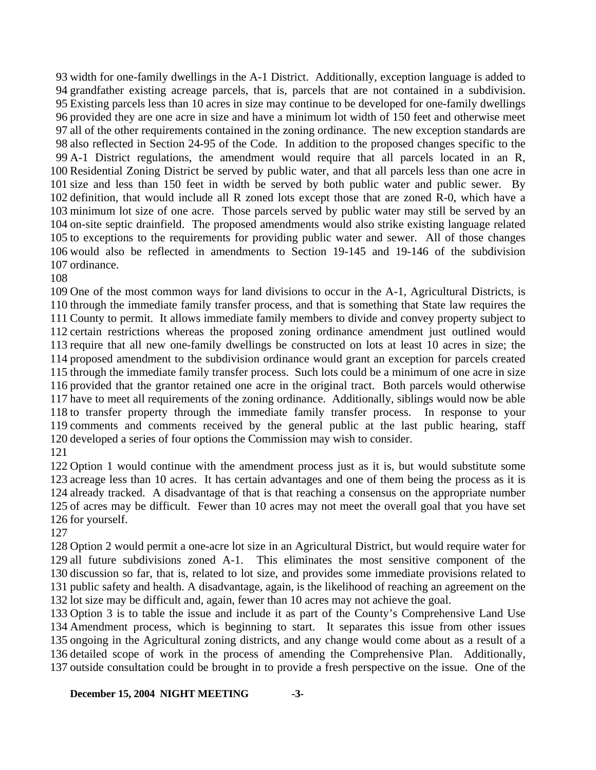width for one-family dwellings in the A-1 District. Additionally, exception language is added to grandfather existing acreage parcels, that is, parcels that are not contained in a subdivision. Existing parcels less than 10 acres in size may continue to be developed for one-family dwellings provided they are one acre in size and have a minimum lot width of 150 feet and otherwise meet all of the other requirements contained in the zoning ordinance. The new exception standards are also reflected in Section 24-95 of the Code. In addition to the proposed changes specific to the A-1 District regulations, the amendment would require that all parcels located in an R, Residential Zoning District be served by public water, and that all parcels less than one acre in size and less than 150 feet in width be served by both public water and public sewer. By definition, that would include all R zoned lots except those that are zoned R-0, which have a minimum lot size of one acre. Those parcels served by public water may still be served by an on-site septic drainfield. The proposed amendments would also strike existing language related to exceptions to the requirements for providing public water and sewer. All of those changes would also be reflected in amendments to Section 19-145 and 19-146 of the subdivision ordinance.

 One of the most common ways for land divisions to occur in the A-1, Agricultural Districts, is through the immediate family transfer process, and that is something that State law requires the County to permit. It allows immediate family members to divide and convey property subject to certain restrictions whereas the proposed zoning ordinance amendment just outlined would require that all new one-family dwellings be constructed on lots at least 10 acres in size; the proposed amendment to the subdivision ordinance would grant an exception for parcels created through the immediate family transfer process. Such lots could be a minimum of one acre in size provided that the grantor retained one acre in the original tract. Both parcels would otherwise have to meet all requirements of the zoning ordinance. Additionally, siblings would now be able to transfer property through the immediate family transfer process. In response to your comments and comments received by the general public at the last public hearing, staff developed a series of four options the Commission may wish to consider.

 Option 1 would continue with the amendment process just as it is, but would substitute some acreage less than 10 acres. It has certain advantages and one of them being the process as it is already tracked. A disadvantage of that is that reaching a consensus on the appropriate number of acres may be difficult. Fewer than 10 acres may not meet the overall goal that you have set for yourself.

 Option 2 would permit a one-acre lot size in an Agricultural District, but would require water for all future subdivisions zoned A-1. This eliminates the most sensitive component of the discussion so far, that is, related to lot size, and provides some immediate provisions related to public safety and health. A disadvantage, again, is the likelihood of reaching an agreement on the lot size may be difficult and, again, fewer than 10 acres may not achieve the goal.

 Option 3 is to table the issue and include it as part of the County's Comprehensive Land Use Amendment process, which is beginning to start. It separates this issue from other issues ongoing in the Agricultural zoning districts, and any change would come about as a result of a detailed scope of work in the process of amending the Comprehensive Plan. Additionally, outside consultation could be brought in to provide a fresh perspective on the issue. One of the

## **December 15, 2004 NIGHT MEETING -3-**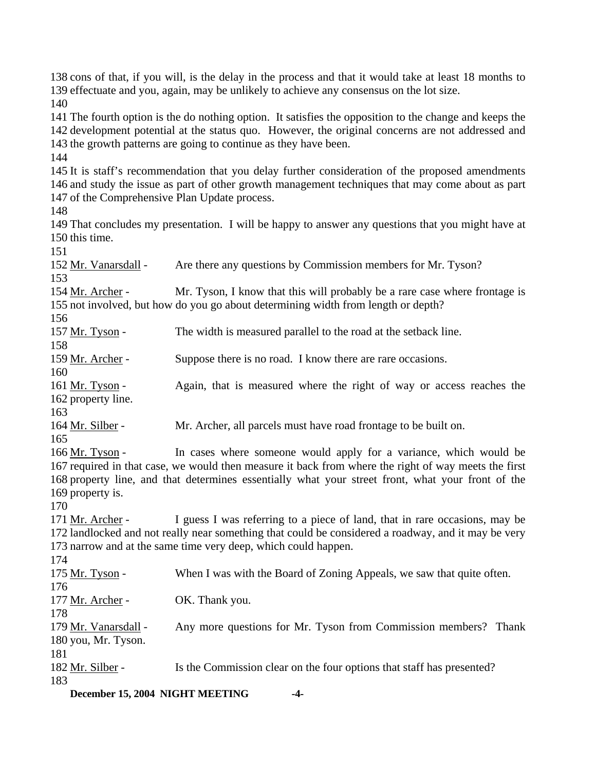138 cons of that, if you will, is the delay in the process and that it would take at least 18 months to 139 effectuate and you, again, may be unlikely to achieve any consensus on the lot size. 140 141 The fourth option is the do nothing option. It satisfies the opposition to the change and keeps the 142 development potential at the status quo. However, the original concerns are not addressed and 143 the growth patterns are going to continue as they have been. 144 145 It is staff's recommendation that you delay further consideration of the proposed amendments 146 and study the issue as part of other growth management techniques that may come about as part 147 of the Comprehensive Plan Update process. 148 149 That concludes my presentation. I will be happy to answer any questions that you might have at 150 this time. 151 152 Mr. Vanarsdall - Are there any questions by Commission members for Mr. Tyson? 153 Mr. Tyson, I know that this will probably be a rare case where frontage is 155 not involved, but how do you go about determining width from length or depth? 154 Mr. Archer -156 157 Mr. Tyson - The width is measured parallel to the road at the setback line. 158 159 Mr. Archer - Suppose there is no road. I know there are rare occasions. 160 Again, that is measured where the right of way or access reaches the 162 property line. 161 Mr. Tyson -163 164 Mr. Silber - Mr. Archer, all parcels must have road frontage to be built on. 165 In cases where someone would apply for a variance, which would be 167 required in that case, we would then measure it back from where the right of way meets the first 168 property line, and that determines essentially what your street front, what your front of the 169 property is. 166 Mr. Tyson -170 I guess I was referring to a piece of land, that in rare occasions, may be 172 landlocked and not really near something that could be considered a roadway, and it may be very 173 narrow and at the same time very deep, which could happen. 171 Mr. Archer -174 175 Mr. Tyson - When I was with the Board of Zoning Appeals, we saw that quite often. 176 177 Mr. Archer - OK. Thank you. 178 Any more questions for Mr. Tyson from Commission members? Thank 180 you, Mr. Tyson. 179 Mr. Vanarsdall -181 182 Mr. Silber - Is the Commission clear on the four options that staff has presented? 183

**December 15, 2004 NIGHT MEETING -4-**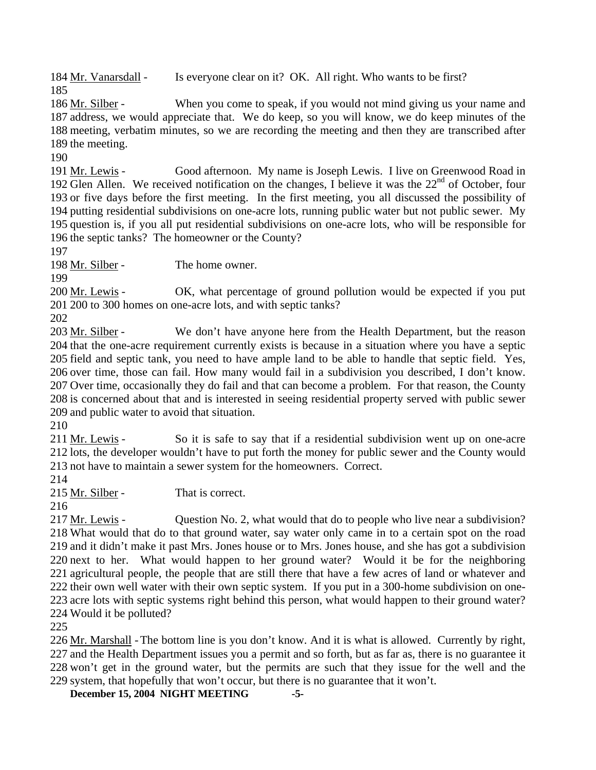184 Mr. Vanarsdall - Is everyone clear on it? OK. All right. Who wants to be first? 185

When you come to speak, if you would not mind giving us your name and 187 address, we would appreciate that. We do keep, so you will know, we do keep minutes of the 188 meeting, verbatim minutes, so we are recording the meeting and then they are transcribed after 189 the meeting. 186 Mr. Silber -

190

Good afternoon. My name is Joseph Lewis. I live on Greenwood Road in 192 Glen Allen. We received notification on the changes, I believe it was the  $22<sup>nd</sup>$  of October, four 191 Mr. Lewis -193 or five days before the first meeting. In the first meeting, you all discussed the possibility of 194 putting residential subdivisions on one-acre lots, running public water but not public sewer. My 195 question is, if you all put residential subdivisions on one-acre lots, who will be responsible for 196 the septic tanks? The homeowner or the County?

197

198 Mr. Silber - The home owner.

199

OK, what percentage of ground pollution would be expected if you put 200 to 300 homes on one-acre lots, and with septic tanks? 201 200 Mr. Lewis -

202

We don't have anyone here from the Health Department, but the reason 204 that the one-acre requirement currently exists is because in a situation where you have a septic 205 field and septic tank, you need to have ample land to be able to handle that septic field. Yes, 206 over time, those can fail. How many would fail in a subdivision you described, I don't know. 207 Over time, occasionally they do fail and that can become a problem. For that reason, the County 208 is concerned about that and is interested in seeing residential property served with public sewer 209 and public water to avoid that situation. 203 Mr. Silber -

210

So it is safe to say that if a residential subdivision went up on one-acre 212 lots, the developer wouldn't have to put forth the money for public sewer and the County would 213 not have to maintain a sewer system for the homeowners. Correct. 211 Mr. Lewis -

214

215 Mr. Silber - That is correct.

216

Question No. 2, what would that do to people who live near a subdivision? 218 What would that do to that ground water, say water only came in to a certain spot on the road 219 and it didn't make it past Mrs. Jones house or to Mrs. Jones house, and she has got a subdivision 220 next to her. What would happen to her ground water? Would it be for the neighboring 221 agricultural people, the people that are still there that have a few acres of land or whatever and 222 their own well water with their own septic system. If you put in a 300-home subdivision on one-223 acre lots with septic systems right behind this person, what would happen to their ground water? Would it be polluted? 224 217 Mr. Lewis -

225

226 Mr. Marshall - The bottom line is you don't know. And it is what is allowed. Currently by right, 227 and the Health Department issues you a permit and so forth, but as far as, there is no guarantee it 228 won't get in the ground water, but the permits are such that they issue for the well and the 229 system, that hopefully that won't occur, but there is no guarantee that it won't.

**December 15, 2004 NIGHT MEETING -5-**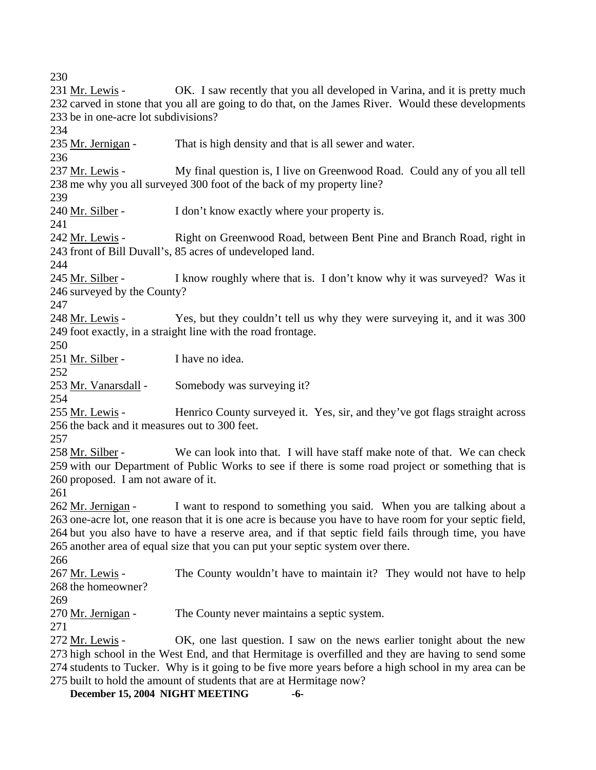230

OK. I saw recently that you all developed in Varina, and it is pretty much 232 carved in stone that you all are going to do that, on the James River. Would these developments 233 be in one-acre lot subdivisions? 231 Mr. Lewis -234 235 Mr. Jernigan - That is high density and that is all sewer and water. 236 My final question is, I live on Greenwood Road. Could any of you all tell 238 me why you all surveyed 300 foot of the back of my property line? 237 Mr. Lewis -239 240 Mr. Silber - I don't know exactly where your property is. 241 Right on Greenwood Road, between Bent Pine and Branch Road, right in 243 front of Bill Duvall's, 85 acres of undeveloped land. 242 Mr. Lewis - $244$ I know roughly where that is. I don't know why it was surveyed? Was it 246 surveyed by the County? 245 Mr. Silber -247 Yes, but they couldn't tell us why they were surveying it, and it was 300 249 foot exactly, in a straight line with the road frontage. 248 Mr. Lewis -250 251 Mr. Silber - I have no idea. 252 253 Mr. Vanarsdall - Somebody was surveying it? 254 Henrico County surveyed it. Yes, sir, and they've got flags straight across 256 the back and it measures out to 300 feet. 255 Mr. Lewis -257 We can look into that. I will have staff make note of that. We can check 259 with our Department of Public Works to see if there is some road project or something that is 260 proposed. I am not aware of it. 258 Mr. Silber -261 I want to respond to something you said. When you are talking about a 263 one-acre lot, one reason that it is one acre is because you have to have room for your septic field, 264 but you also have to have a reserve area, and if that septic field fails through time, you have 265 another area of equal size that you can put your septic system over there. 262 Mr. Jernigan -266 The County wouldn't have to maintain it? They would not have to help 268 the homeowner? 267 Mr. Lewis -269 270 Mr. Jernigan - The County never maintains a septic system. 271 OK, one last question. I saw on the news earlier tonight about the new 273 high school in the West End, and that Hermitage is overfilled and they are having to send some 274 students to Tucker. Why is it going to be five more years before a high school in my area can be 275 built to hold the amount of students that are at Hermitage now? 272 Mr. Lewis -

**December 15, 2004 NIGHT MEETING -6-**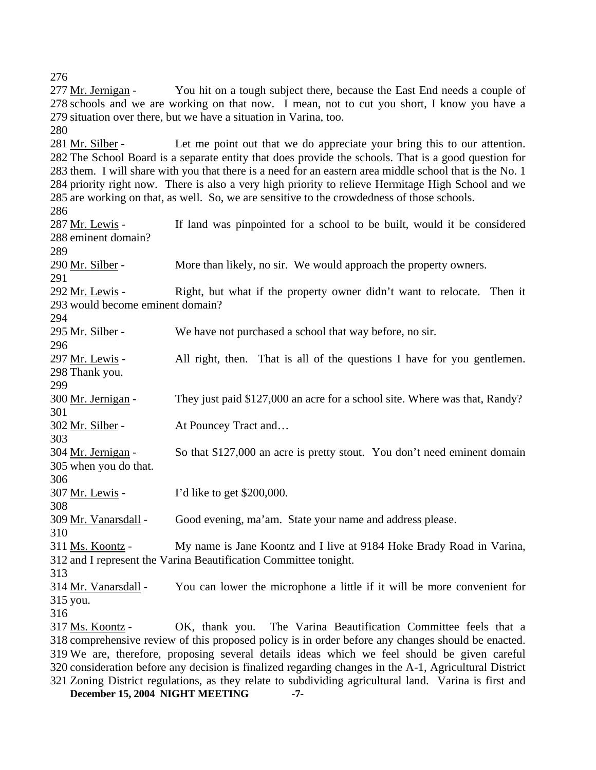You hit on a tough subject there, because the East End needs a couple of 278 schools and we are working on that now. I mean, not to cut you short, I know you have a 279 situation over there, but we have a situation in Varina, too. 277 Mr. Jernigan -280 Let me point out that we do appreciate your bring this to our attention. 282 The School Board is a separate entity that does provide the schools. That is a good question for 283 them. I will share with you that there is a need for an eastern area middle school that is the No. 1 284 priority right now. There is also a very high priority to relieve Hermitage High School and we 285 are working on that, as well. So, we are sensitive to the crowdedness of those schools. 281 Mr. Silber -286 If land was pinpointed for a school to be built, would it be considered 288 eminent domain? 287 Mr. Lewis -289 290 Mr. Silber - More than likely, no sir. We would approach the property owners. 291 Right, but what if the property owner didn't want to relocate. Then it 293 would become eminent domain? 292 Mr. Lewis -294 295 Mr. Silber - We have not purchased a school that way before, no sir. 296 All right, then. That is all of the questions I have for you gentlemen. 298 Thank you. 297 Mr. Lewis -299 300 Mr. Jernigan - They just paid \$127,000 an acre for a school site. Where was that, Randy? 301 302 Mr. Silber - At Pouncey Tract and... 303 So that \$127,000 an acre is pretty stout. You don't need eminent domain 305 when you do that. 304 Mr. Jernigan -306 307 Mr. Lewis - I'd like to get \$200,000. 308 309 Mr. Vanarsdall - Good evening, ma'am. State your name and address please. 310 My name is Jane Koontz and I live at 9184 Hoke Brady Road in Varina, 312 and I represent the Varina Beautification Committee tonight. 311 Ms. Koontz -313 You can lower the microphone a little if it will be more convenient for 315 you. 314 Mr. Vanarsdall -316 OK, thank you. The Varina Beautification Committee feels that a 318 comprehensive review of this proposed policy is in order before any changes should be enacted. We are, therefore, proposing several details ideas which we feel should be given careful 319 320 consideration before any decision is finalized regarding changes in the A-1, Agricultural District 321 Zoning District regulations, as they relate to subdividing agricultural land. Varina is first and 317 Ms. Koontz -

**December 15, 2004 NIGHT MEETING -7-**

276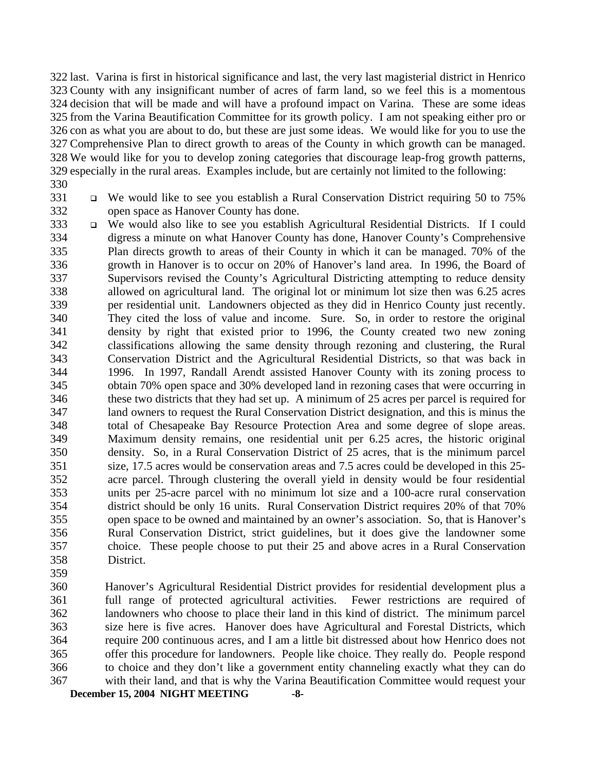last. Varina is first in historical significance and last, the very last magisterial district in Henrico County with any insignificant number of acres of farm land, so we feel this is a momentous decision that will be made and will have a profound impact on Varina. These are some ideas from the Varina Beautification Committee for its growth policy. I am not speaking either pro or con as what you are about to do, but these are just some ideas. We would like for you to use the Comprehensive Plan to direct growth to areas of the County in which growth can be managed. We would like for you to develop zoning categories that discourage leap-frog growth patterns, especially in the rural areas. Examples include, but are certainly not limited to the following:

- 330
- 331 332

 We would like to see you establish a Rural Conservation District requiring 50 to 75% open space as Hanover County has done.

- 333 334 335 336 337 338 339 340 341 342 343 344 345 346 347 348 349 350 351 352 353 354 355 356 357 358 We would also like to see you establish Agricultural Residential Districts. If I could digress a minute on what Hanover County has done, Hanover County's Comprehensive Plan directs growth to areas of their County in which it can be managed. 70% of the growth in Hanover is to occur on 20% of Hanover's land area. In 1996, the Board of Supervisors revised the County's Agricultural Districting attempting to reduce density allowed on agricultural land. The original lot or minimum lot size then was 6.25 acres per residential unit. Landowners objected as they did in Henrico County just recently. They cited the loss of value and income. Sure. So, in order to restore the original density by right that existed prior to 1996, the County created two new zoning classifications allowing the same density through rezoning and clustering, the Rural Conservation District and the Agricultural Residential Districts, so that was back in 1996. In 1997, Randall Arendt assisted Hanover County with its zoning process to obtain 70% open space and 30% developed land in rezoning cases that were occurring in these two districts that they had set up. A minimum of 25 acres per parcel is required for land owners to request the Rural Conservation District designation, and this is minus the total of Chesapeake Bay Resource Protection Area and some degree of slope areas. Maximum density remains, one residential unit per 6.25 acres, the historic original density. So, in a Rural Conservation District of 25 acres, that is the minimum parcel size, 17.5 acres would be conservation areas and 7.5 acres could be developed in this 25 acre parcel. Through clustering the overall yield in density would be four residential units per 25-acre parcel with no minimum lot size and a 100-acre rural conservation district should be only 16 units. Rural Conservation District requires 20% of that 70% open space to be owned and maintained by an owner's association. So, that is Hanover's Rural Conservation District, strict guidelines, but it does give the landowner some choice. These people choose to put their 25 and above acres in a Rural Conservation District.
- 359

**December 15, 2004 NIGHT MEETING -8-** 360 361 362 363 364 365 366 367 Hanover's Agricultural Residential District provides for residential development plus a full range of protected agricultural activities. Fewer restrictions are required of landowners who choose to place their land in this kind of district. The minimum parcel size here is five acres. Hanover does have Agricultural and Forestal Districts, which require 200 continuous acres, and I am a little bit distressed about how Henrico does not offer this procedure for landowners. People like choice. They really do. People respond to choice and they don't like a government entity channeling exactly what they can do with their land, and that is why the Varina Beautification Committee would request your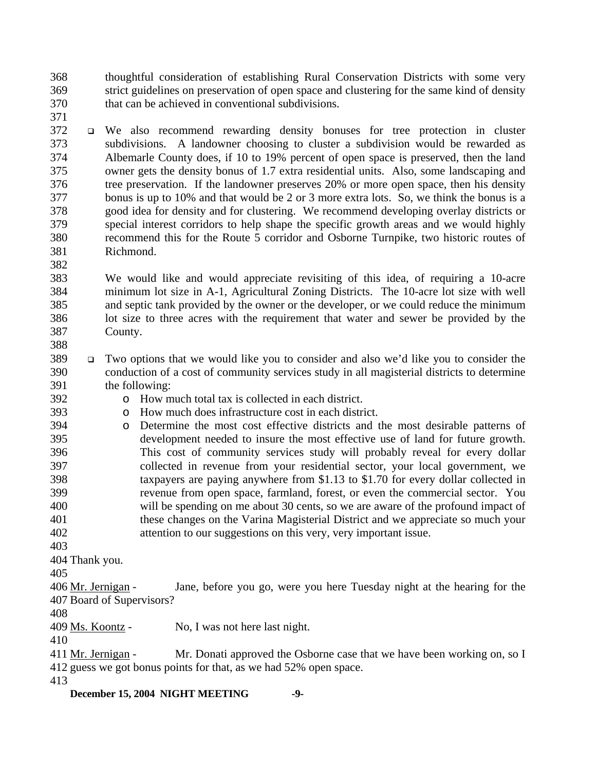368 369 370 thoughtful consideration of establishing Rural Conservation Districts with some very strict guidelines on preservation of open space and clustering for the same kind of density that can be achieved in conventional subdivisions.

371

372 373 374 375 376 377 378 379 380 381 We also recommend rewarding density bonuses for tree protection in cluster subdivisions. A landowner choosing to cluster a subdivision would be rewarded as Albemarle County does, if 10 to 19% percent of open space is preserved, then the land owner gets the density bonus of 1.7 extra residential units. Also, some landscaping and tree preservation. If the landowner preserves 20% or more open space, then his density bonus is up to 10% and that would be 2 or 3 more extra lots. So, we think the bonus is a good idea for density and for clustering. We recommend developing overlay districts or special interest corridors to help shape the specific growth areas and we would highly recommend this for the Route 5 corridor and Osborne Turnpike, two historic routes of Richmond.

383 384 385 386 387 388 We would like and would appreciate revisiting of this idea, of requiring a 10-acre minimum lot size in A-1, Agricultural Zoning Districts. The 10-acre lot size with well and septic tank provided by the owner or the developer, or we could reduce the minimum lot size to three acres with the requirement that water and sewer be provided by the County.

- 389 390 391 Two options that we would like you to consider and also we'd like you to consider the conduction of a cost of community services study in all magisterial districts to determine the following:
- 392 393

382

- o How much total tax is collected in each district.
- o How much does infrastructure cost in each district.
- 394 395 396 397 398 399 400 401 402 o Determine the most cost effective districts and the most desirable patterns of development needed to insure the most effective use of land for future growth. This cost of community services study will probably reveal for every dollar collected in revenue from your residential sector, your local government, we taxpayers are paying anywhere from \$1.13 to \$1.70 for every dollar collected in revenue from open space, farmland, forest, or even the commercial sector. You will be spending on me about 30 cents, so we are aware of the profound impact of these changes on the Varina Magisterial District and we appreciate so much your attention to our suggestions on this very, very important issue.

403

404 Thank you.

405

Jane, before you go, were you here Tuesday night at the hearing for the 407 Board of Supervisors? 406 Mr. Jernigan -

408

409 Ms. Koontz - No, I was not here last night.

410

Mr. Donati approved the Osborne case that we have been working on, so I 412 guess we got bonus points for that, as we had 52% open space. 411 Mr. Jernigan -

413

**December 15, 2004 NIGHT MEETING -9-**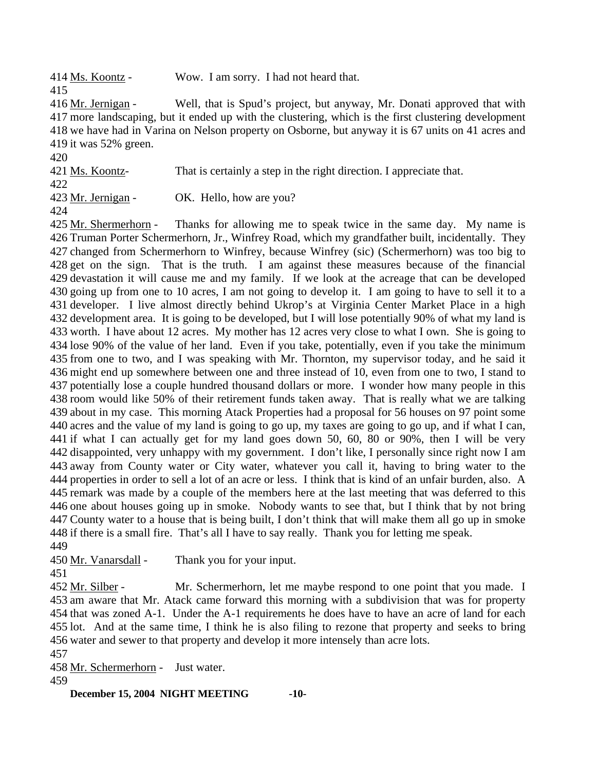414 Ms. Koontz - Wow. I am sorry. I had not heard that. 415

Well, that is Spud's project, but anyway, Mr. Donati approved that with 417 more landscaping, but it ended up with the clustering, which is the first clustering development 418 we have had in Varina on Nelson property on Osborne, but anyway it is 67 units on 41 acres and 419 it was  $52\%$  green. 416 Mr. Jernigan -

420 421 Ms. Koontz- That is certainly a step in the right direction. I appreciate that. 422 423 Mr. Jernigan - OK. Hello, how are you?

424

Thanks for allowing me to speak twice in the same day. My name is 426 Truman Porter Schermerhorn, Jr., Winfrey Road, which my grandfather built, incidentally. They 427 changed from Schermerhorn to Winfrey, because Winfrey (sic) (Schermerhorn) was too big to 428 get on the sign. That is the truth. I am against these measures because of the financial 429 devastation it will cause me and my family. If we look at the acreage that can be developed 430 going up from one to 10 acres, I am not going to develop it. I am going to have to sell it to a 431 developer. I live almost directly behind Ukrop's at Virginia Center Market Place in a high 432 development area. It is going to be developed, but I will lose potentially 90% of what my land is 433 worth. I have about 12 acres. My mother has 12 acres very close to what I own. She is going to 434 lose 90% of the value of her land. Even if you take, potentially, even if you take the minimum 435 from one to two, and I was speaking with Mr. Thornton, my supervisor today, and he said it 436 might end up somewhere between one and three instead of 10, even from one to two, I stand to 437 potentially lose a couple hundred thousand dollars or more. I wonder how many people in this 438 room would like 50% of their retirement funds taken away. That is really what we are talking 439 about in my case. This morning Atack Properties had a proposal for 56 houses on 97 point some 440 acres and the value of my land is going to go up, my taxes are going to go up, and if what I can, 441 if what I can actually get for my land goes down 50, 60, 80 or 90%, then I will be very 442 disappointed, very unhappy with my government. I don't like, I personally since right now I am 443 away from County water or City water, whatever you call it, having to bring water to the 444 properties in order to sell a lot of an acre or less. I think that is kind of an unfair burden, also. A 445 remark was made by a couple of the members here at the last meeting that was deferred to this 446 one about houses going up in smoke. Nobody wants to see that, but I think that by not bring 447 County water to a house that is being built, I don't think that will make them all go up in smoke 448 if there is a small fire. That's all I have to say really. Thank you for letting me speak. 425 Mr. Shermerhorn -449

450 Mr. Vanarsdall - Thank you for your input.

Mr. Schermerhorn, let me maybe respond to one point that you made. I 453 am aware that Mr. Atack came forward this morning with a subdivision that was for property 454 that was zoned A-1. Under the A-1 requirements he does have to have an acre of land for each 455 lot. And at the same time, I think he is also filing to rezone that property and seeks to bring 456 water and sewer to that property and develop it more intensely than acre lots. 452 Mr. Silber -

457

451

458 Mr. Schermerhorn - Just water.

459

**December 15, 2004 NIGHT MEETING -10-**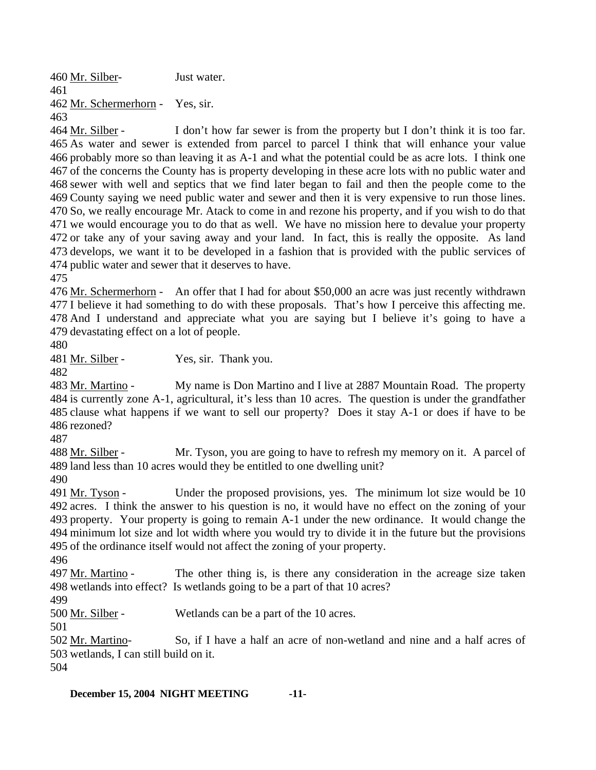460 Mr. Silber- Just water. 461 462 Mr. Schermerhorn - Yes, sir.

463

I don't how far sewer is from the property but I don't think it is too far. 465 As water and sewer is extended from parcel to parcel I think that will enhance your value 466 probably more so than leaving it as A-1 and what the potential could be as acre lots. I think one 467 of the concerns the County has is property developing in these acre lots with no public water and 468 sewer with well and septics that we find later began to fail and then the people come to the 469 County saying we need public water and sewer and then it is very expensive to run those lines. 470 So, we really encourage Mr. Atack to come in and rezone his property, and if you wish to do that 471 we would encourage you to do that as well. We have no mission here to devalue your property 472 or take any of your saving away and your land. In fact, this is really the opposite. As land 473 develops, we want it to be developed in a fashion that is provided with the public services of 474 public water and sewer that it deserves to have. 464 Mr. Silber -

475

476 Mr. Schermerhorn - An offer that I had for about \$50,000 an acre was just recently withdrawn 477 I believe it had something to do with these proposals. That's how I perceive this affecting me. 478 And I understand and appreciate what you are saying but I believe it's going to have a 479 devastating effect on a lot of people.

480

481 Mr. Silber - Yes, sir. Thank you.

482

My name is Don Martino and I live at 2887 Mountain Road. The property 484 is currently zone A-1, agricultural, it's less than 10 acres. The question is under the grandfather 485 clause what happens if we want to sell our property? Does it stay A-1 or does if have to be 486 rezoned? 483 Mr. Martino -

487

Mr. Tyson, you are going to have to refresh my memory on it. A parcel of 489 land less than 10 acres would they be entitled to one dwelling unit? 488 Mr. Silber -

490

Under the proposed provisions, yes. The minimum lot size would be 10 492 acres. I think the answer to his question is no, it would have no effect on the zoning of your 493 property. Your property is going to remain A-1 under the new ordinance. It would change the 494 minimum lot size and lot width where you would try to divide it in the future but the provisions 495 of the ordinance itself would not affect the zoning of your property. 491 Mr. Tyson -

496

The other thing is, is there any consideration in the acreage size taken 498 wetlands into effect? Is wetlands going to be a part of that 10 acres? 497 Mr. Martino -

499

500 <u>Mr. Silber</u> - Wetlands can be a part of the 10 acres.

501

So, if I have a half an acre of non-wetland and nine and a half acres of 503 wetlands, I can still build on it. 502 Mr. Martino-

504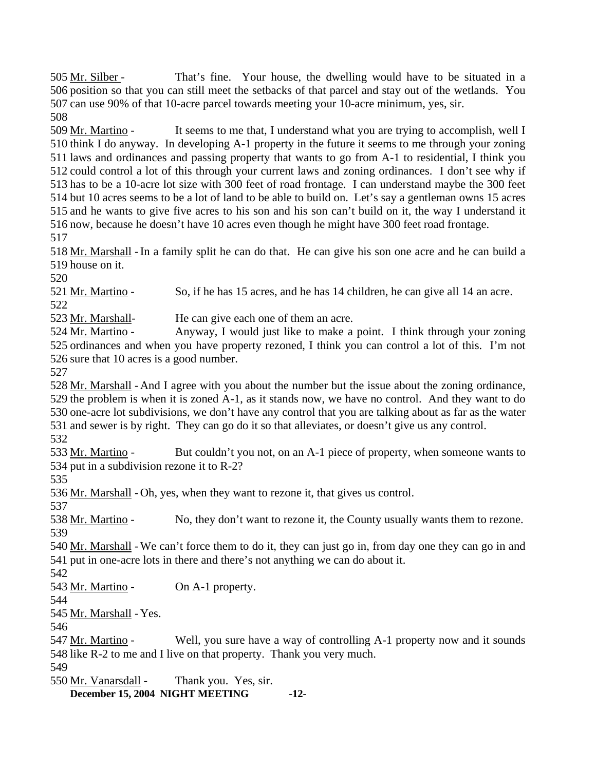That's fine. Your house, the dwelling would have to be situated in a 506 position so that you can still meet the setbacks of that parcel and stay out of the wetlands. You 507 can use 90% of that 10-acre parcel towards meeting your 10-acre minimum, yes, sir. 505 Mr. Silber -

508

It seems to me that, I understand what you are trying to accomplish, well I 510 think I do anyway. In developing A-1 property in the future it seems to me through your zoning 511 laws and ordinances and passing property that wants to go from A-1 to residential, I think you 512 could control a lot of this through your current laws and zoning ordinances. I don't see why if 513 has to be a 10-acre lot size with 300 feet of road frontage. I can understand maybe the 300 feet 514 but 10 acres seems to be a lot of land to be able to build on. Let's say a gentleman owns 15 acres 515 and he wants to give five acres to his son and his son can't build on it, the way I understand it 516 now, because he doesn't have 10 acres even though he might have 300 feet road frontage. 509 Mr. Martino -

517

518 Mr. Marshall - In a family split he can do that. He can give his son one acre and he can build a 519 house on it.

520

521 Mr. Martino - So, if he has 15 acres, and he has 14 children, he can give all 14 an acre.

522

523 Mr. Marshall- He can give each one of them an acre.

Anyway, I would just like to make a point. I think through your zoning 525 ordinances and when you have property rezoned, I think you can control a lot of this. I'm not 526 sure that 10 acres is a good number. 524 Mr. Martino -

527

528 Mr. Marshall - And I agree with you about the number but the issue about the zoning ordinance,  $529$  the problem is when it is zoned A-1, as it stands now, we have no control. And they want to do 530 one-acre lot subdivisions, we don't have any control that you are talking about as far as the water 531 and sewer is by right. They can go do it so that alleviates, or doesn't give us any control. 532

But couldn't you not, on an A-1 piece of property, when someone wants to 534 put in a subdivision rezone it to  $R-2$ ? 533 Mr. Martino -

535

536 Mr. Marshall - Oh, yes, when they want to rezone it, that gives us control.

537

538 Mr. Martino - No, they don't want to rezone it, the County usually wants them to rezone. 539

540 Mr. Marshall - We can't force them to do it, they can just go in, from day one they can go in and 541 put in one-acre lots in there and there's not anything we can do about it.

542

543 Mr. Martino - On A-1 property.

544

545 Mr. Marshall - Yes.

546

Well, you sure have a way of controlling A-1 property now and it sounds 548 like R-2 to me and I live on that property. Thank you very much. 547 Mr. Martino -

549

550 Mr. Vanarsdall - Thank you. Yes, sir.

**December 15, 2004 NIGHT MEETING -12-**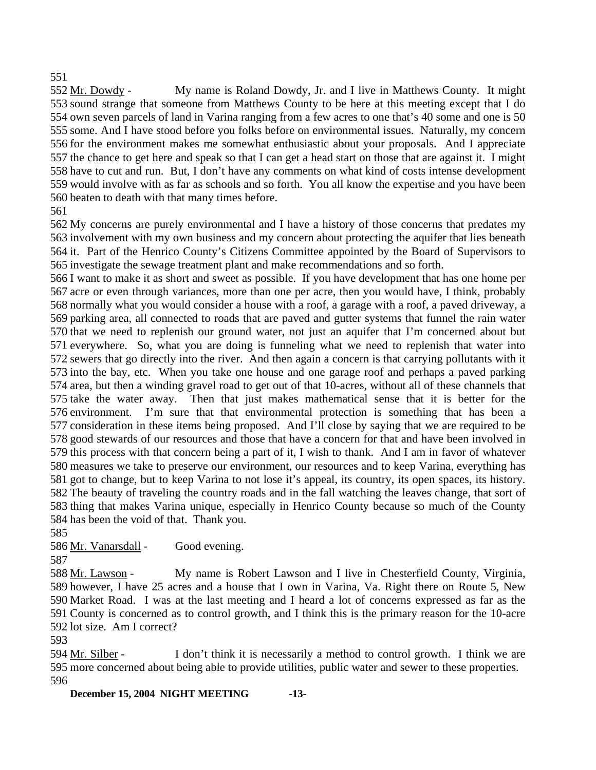## 551

My name is Roland Dowdy, Jr. and I live in Matthews County. It might 553 sound strange that someone from Matthews County to be here at this meeting except that I do 554 own seven parcels of land in Varina ranging from a few acres to one that's 40 some and one is 50 555 some. And I have stood before you folks before on environmental issues. Naturally, my concern 556 for the environment makes me somewhat enthusiastic about your proposals. And I appreciate 557 the chance to get here and speak so that I can get a head start on those that are against it. I might 558 have to cut and run. But, I don't have any comments on what kind of costs intense development 559 would involve with as far as schools and so forth. You all know the expertise and you have been 560 beaten to death with that many times before. 552 Mr. Dowdy -

561

 My concerns are purely environmental and I have a history of those concerns that predates my involvement with my own business and my concern about protecting the aquifer that lies beneath it. Part of the Henrico County's Citizens Committee appointed by the Board of Supervisors to investigate the sewage treatment plant and make recommendations and so forth.

 I want to make it as short and sweet as possible. If you have development that has one home per acre or even through variances, more than one per acre, then you would have, I think, probably normally what you would consider a house with a roof, a garage with a roof, a paved driveway, a parking area, all connected to roads that are paved and gutter systems that funnel the rain water that we need to replenish our ground water, not just an aquifer that I'm concerned about but everywhere. So, what you are doing is funneling what we need to replenish that water into sewers that go directly into the river. And then again a concern is that carrying pollutants with it into the bay, etc. When you take one house and one garage roof and perhaps a paved parking area, but then a winding gravel road to get out of that 10-acres, without all of these channels that take the water away. Then that just makes mathematical sense that it is better for the environment. I'm sure that that environmental protection is something that has been a consideration in these items being proposed. And I'll close by saying that we are required to be good stewards of our resources and those that have a concern for that and have been involved in this process with that concern being a part of it, I wish to thank. And I am in favor of whatever measures we take to preserve our environment, our resources and to keep Varina, everything has got to change, but to keep Varina to not lose it's appeal, its country, its open spaces, its history. The beauty of traveling the country roads and in the fall watching the leaves change, that sort of thing that makes Varina unique, especially in Henrico County because so much of the County has been the void of that. Thank you.

585

586 Mr. Vanarsdall - Good evening.

587

My name is Robert Lawson and I live in Chesterfield County, Virginia, 589 however, I have 25 acres and a house that I own in Varina, Va. Right there on Route 5, New 590 Market Road. I was at the last meeting and I heard a lot of concerns expressed as far as the 591 County is concerned as to control growth, and I think this is the primary reason for the 10-acre 588 Mr. Lawson -

592 lot size. Am I correct?

593

I don't think it is necessarily a method to control growth. I think we are 595 more concerned about being able to provide utilities, public water and sewer to these properties. 594 Mr. Silber -596

**December 15, 2004 NIGHT MEETING -13-**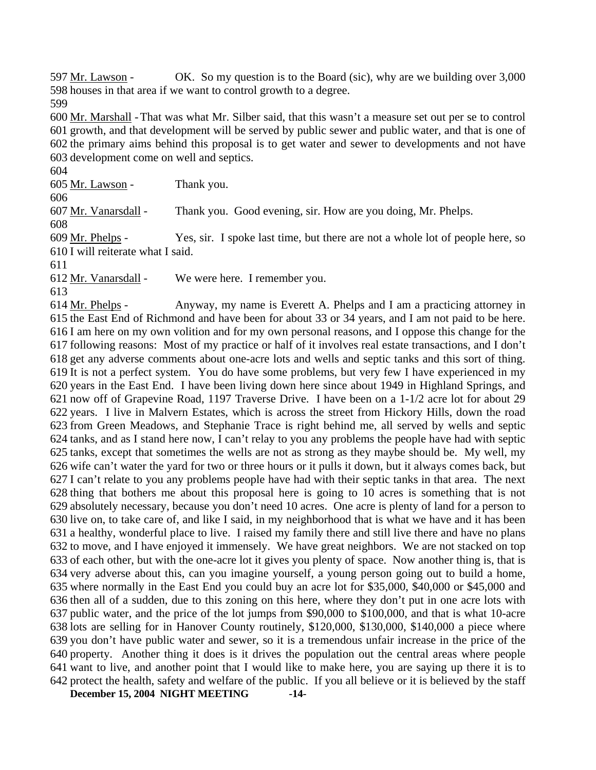OK. So my question is to the Board (sic), why are we building over  $3,000$ 598 houses in that area if we want to control growth to a degree. 597 Mr. Lawson -

599

600 Mr. Marshall - That was what Mr. Silber said, that this wasn't a measure set out per se to control 601 growth, and that development will be served by public sewer and public water, and that is one of 602 the primary aims behind this proposal is to get water and sewer to developments and not have 603 development come on well and septics.

604

605 Mr. Lawson - Thank you.

606

607 Mr. Vanarsdall - Thank you. Good evening, sir. How are you doing, Mr. Phelps.

608

Yes, sir. I spoke last time, but there are not a whole lot of people here, so 610 I will reiterate what I said. 609 Mr. Phelps -

611

612 Mr. Vanarsdall - We were here. I remember you.

613

Anyway, my name is Everett A. Phelps and I am a practicing attorney in 615 the East End of Richmond and have been for about 33 or 34 years, and I am not paid to be here. 616 I am here on my own volition and for my own personal reasons, and I oppose this change for the 617 following reasons: Most of my practice or half of it involves real estate transactions, and I don't 618 get any adverse comments about one-acre lots and wells and septic tanks and this sort of thing. 619 It is not a perfect system. You do have some problems, but very few I have experienced in my 620 years in the East End. I have been living down here since about 1949 in Highland Springs, and 621 now off of Grapevine Road, 1197 Traverse Drive. I have been on a 1-1/2 acre lot for about 29 622 years. I live in Malvern Estates, which is across the street from Hickory Hills, down the road 623 from Green Meadows, and Stephanie Trace is right behind me, all served by wells and septic 624 tanks, and as I stand here now, I can't relay to you any problems the people have had with septic 625 tanks, except that sometimes the wells are not as strong as they maybe should be. My well, my 626 wife can't water the yard for two or three hours or it pulls it down, but it always comes back, but 627 I can't relate to you any problems people have had with their septic tanks in that area. The next  $628$  thing that bothers me about this proposal here is going to 10 acres is something that is not 629 absolutely necessary, because you don't need 10 acres. One acre is plenty of land for a person to 630 live on, to take care of, and like I said, in my neighborhood that is what we have and it has been 631 a healthy, wonderful place to live. I raised my family there and still live there and have no plans 632 to move, and I have enjoyed it immensely. We have great neighbors. We are not stacked on top 633 of each other, but with the one-acre lot it gives you plenty of space. Now another thing is, that is 634 very adverse about this, can you imagine yourself, a young person going out to build a home, 635 where normally in the East End you could buy an acre lot for \$35,000, \$40,000 or \$45,000 and 636 then all of a sudden, due to this zoning on this here, where they don't put in one acre lots with 637 public water, and the price of the lot jumps from \$90,000 to \$100,000, and that is what 10-acre 638 lots are selling for in Hanover County routinely, \$120,000, \$130,000, \$140,000 a piece where 639 you don't have public water and sewer, so it is a tremendous unfair increase in the price of the 640 property. Another thing it does is it drives the population out the central areas where people 641 want to live, and another point that I would like to make here, you are saying up there it is to 642 protect the health, safety and welfare of the public. If you all believe or it is believed by the staff 614 Mr. Phelps -

**December 15, 2004 NIGHT MEETING -14-**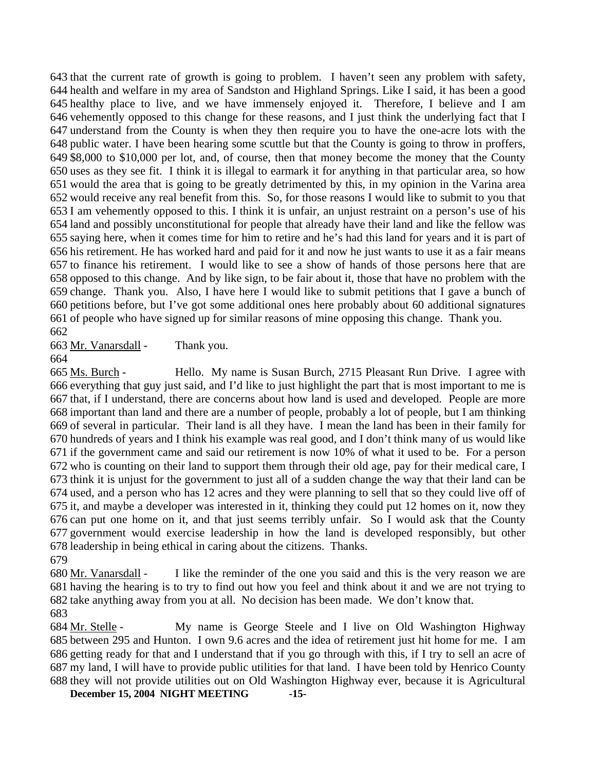that the current rate of growth is going to problem. I haven't seen any problem with safety, health and welfare in my area of Sandston and Highland Springs. Like I said, it has been a good healthy place to live, and we have immensely enjoyed it. Therefore, I believe and I am vehemently opposed to this change for these reasons, and I just think the underlying fact that I understand from the County is when they then require you to have the one-acre lots with the public water. I have been hearing some scuttle but that the County is going to throw in proffers, \$8,000 to \$10,000 per lot, and, of course, then that money become the money that the County uses as they see fit. I think it is illegal to earmark it for anything in that particular area, so how would the area that is going to be greatly detrimented by this, in my opinion in the Varina area would receive any real benefit from this. So, for those reasons I would like to submit to you that I am vehemently opposed to this. I think it is unfair, an unjust restraint on a person's use of his land and possibly unconstitutional for people that already have their land and like the fellow was saying here, when it comes time for him to retire and he's had this land for years and it is part of his retirement. He has worked hard and paid for it and now he just wants to use it as a fair means to finance his retirement. I would like to see a show of hands of those persons here that are opposed to this change. And by like sign, to be fair about it, those that have no problem with the change. Thank you. Also, I have here I would like to submit petitions that I gave a bunch of petitions before, but I've got some additional ones here probably about 60 additional signatures of people who have signed up for similar reasons of mine opposing this change. Thank you. 662

663 Mr. Vanarsdall - Thank you.

664

Hello. My name is Susan Burch, 2715 Pleasant Run Drive. I agree with 666 everything that guy just said, and I'd like to just highlight the part that is most important to me is 667 that, if I understand, there are concerns about how land is used and developed. People are more 668 important than land and there are a number of people, probably a lot of people, but I am thinking 669 of several in particular. Their land is all they have. I mean the land has been in their family for 670 hundreds of years and I think his example was real good, and I don't think many of us would like 671 if the government came and said our retirement is now 10% of what it used to be. For a person 672 who is counting on their land to support them through their old age, pay for their medical care, I 673 think it is unjust for the government to just all of a sudden change the way that their land can be 674 used, and a person who has 12 acres and they were planning to sell that so they could live off of 675 it, and maybe a developer was interested in it, thinking they could put 12 homes on it, now they 676 can put one home on it, and that just seems terribly unfair. So I would ask that the County 677 government would exercise leadership in how the land is developed responsibly, but other 678 leadership in being ethical in caring about the citizens. Thanks. 665 Ms. Burch -679

I like the reminder of the one you said and this is the very reason we are 681 having the hearing is to try to find out how you feel and think about it and we are not trying to 682 take anything away from you at all. No decision has been made. We don't know that. 680 Mr. Vanarsdall -683

My name is George Steele and I live on Old Washington Highway 685 between 295 and Hunton. I own 9.6 acres and the idea of retirement just hit home for me. I am 686 getting ready for that and I understand that if you go through with this, if I try to sell an acre of 687 my land, I will have to provide public utilities for that land. I have been told by Henrico County 688 they will not provide utilities out on Old Washington Highway ever, because it is Agricultural 684 Mr. Stelle -

**December 15, 2004 NIGHT MEETING -15-**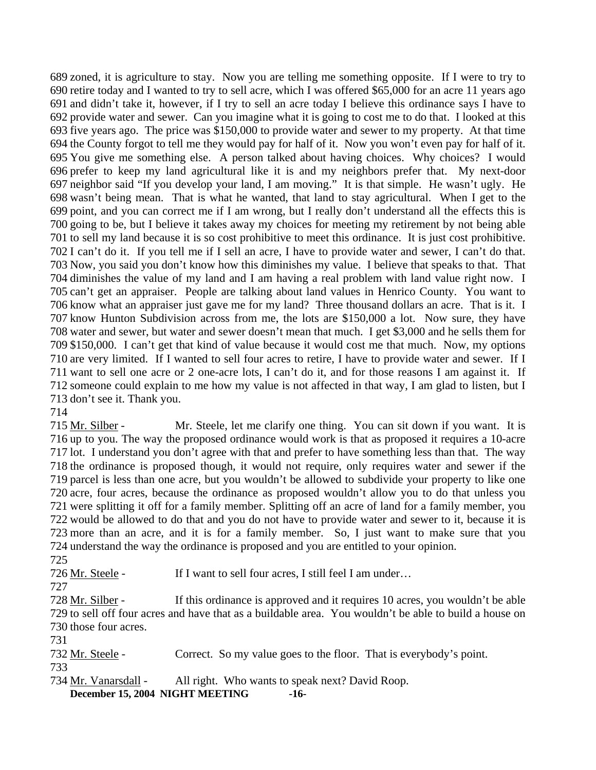zoned, it is agriculture to stay. Now you are telling me something opposite. If I were to try to retire today and I wanted to try to sell acre, which I was offered \$65,000 for an acre 11 years ago and didn't take it, however, if I try to sell an acre today I believe this ordinance says I have to provide water and sewer. Can you imagine what it is going to cost me to do that. I looked at this five years ago. The price was \$150,000 to provide water and sewer to my property. At that time the County forgot to tell me they would pay for half of it. Now you won't even pay for half of it. You give me something else. A person talked about having choices. Why choices? I would prefer to keep my land agricultural like it is and my neighbors prefer that. My next-door neighbor said "If you develop your land, I am moving." It is that simple. He wasn't ugly. He wasn't being mean. That is what he wanted, that land to stay agricultural. When I get to the point, and you can correct me if I am wrong, but I really don't understand all the effects this is going to be, but I believe it takes away my choices for meeting my retirement by not being able to sell my land because it is so cost prohibitive to meet this ordinance. It is just cost prohibitive. I can't do it. If you tell me if I sell an acre, I have to provide water and sewer, I can't do that. Now, you said you don't know how this diminishes my value. I believe that speaks to that. That diminishes the value of my land and I am having a real problem with land value right now. I can't get an appraiser. People are talking about land values in Henrico County. You want to know what an appraiser just gave me for my land? Three thousand dollars an acre. That is it. I know Hunton Subdivision across from me, the lots are \$150,000 a lot. Now sure, they have water and sewer, but water and sewer doesn't mean that much. I get \$3,000 and he sells them for \$150,000. I can't get that kind of value because it would cost me that much. Now, my options are very limited. If I wanted to sell four acres to retire, I have to provide water and sewer. If I want to sell one acre or 2 one-acre lots, I can't do it, and for those reasons I am against it. If someone could explain to me how my value is not affected in that way, I am glad to listen, but I don't see it. Thank you.

Mr. Steele, let me clarify one thing. You can sit down if you want. It is 716 up to you. The way the proposed ordinance would work is that as proposed it requires a 10-acre 717 lot. I understand you don't agree with that and prefer to have something less than that. The way 718 the ordinance is proposed though, it would not require, only requires water and sewer if the 719 parcel is less than one acre, but you wouldn't be allowed to subdivide your property to like one 720 acre, four acres, because the ordinance as proposed wouldn't allow you to do that unless you 721 were splitting it off for a family member. Splitting off an acre of land for a family member, you 722 would be allowed to do that and you do not have to provide water and sewer to it, because it is 723 more than an acre, and it is for a family member. So, I just want to make sure that you 724 understand the way the ordinance is proposed and you are entitled to your opinion. 715 Mr. Silber -

726 Mr. Steele - If I want to sell four acres, I still feel I am under...

If this ordinance is approved and it requires 10 acres, you wouldn't be able 729 to sell off four acres and have that as a buildable area. You wouldn't be able to build a house on 730 those four acres. 728 Mr. Silber -

732 Mr. Steele - Correct. So my value goes to the floor. That is everybody's point. 

**December 15, 2004 NIGHT MEETING -16-** 734 Mr. Vanarsdall - All right. Who wants to speak next? David Roop.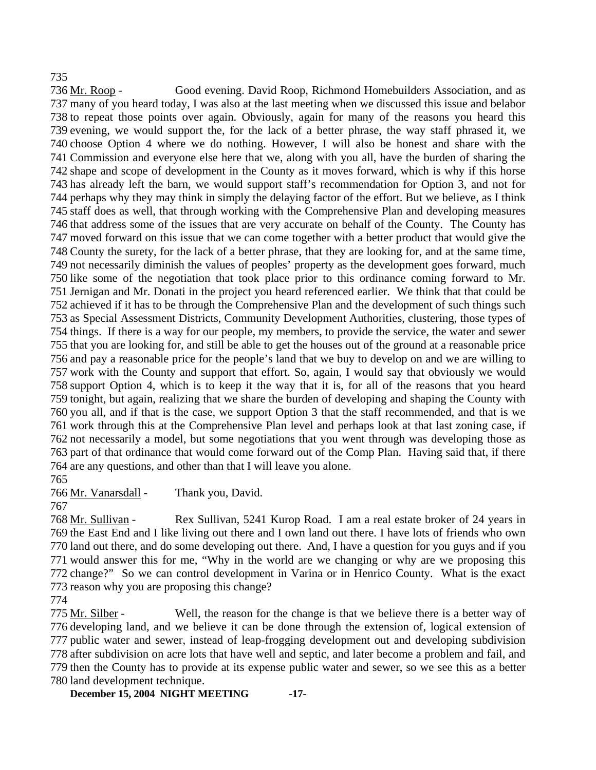## 735

Good evening. David Roop, Richmond Homebuilders Association, and as many of you heard today, I was also at the last meeting when we discussed this issue and belabor 737 738 to repeat those points over again. Obviously, again for many of the reasons you heard this 739 evening, we would support the, for the lack of a better phrase, the way staff phrased it, we 740 choose Option 4 where we do nothing. However, I will also be honest and share with the 741 Commission and everyone else here that we, along with you all, have the burden of sharing the 742 shape and scope of development in the County as it moves forward, which is why if this horse 743 has already left the barn, we would support staff's recommendation for Option 3, and not for 744 perhaps why they may think in simply the delaying factor of the effort. But we believe, as I think 745 staff does as well, that through working with the Comprehensive Plan and developing measures 746 that address some of the issues that are very accurate on behalf of the County. The County has 747 moved forward on this issue that we can come together with a better product that would give the 748 County the surety, for the lack of a better phrase, that they are looking for, and at the same time, 749 not necessarily diminish the values of peoples' property as the development goes forward, much 750 like some of the negotiation that took place prior to this ordinance coming forward to Mr. 751 Jernigan and Mr. Donati in the project you heard referenced earlier. We think that that could be 752 achieved if it has to be through the Comprehensive Plan and the development of such things such 753 as Special Assessment Districts, Community Development Authorities, clustering, those types of 754 things. If there is a way for our people, my members, to provide the service, the water and sewer 755 that you are looking for, and still be able to get the houses out of the ground at a reasonable price 756 and pay a reasonable price for the people's land that we buy to develop on and we are willing to 757 work with the County and support that effort. So, again, I would say that obviously we would 758 support Option 4, which is to keep it the way that it is, for all of the reasons that you heard 759 tonight, but again, realizing that we share the burden of developing and shaping the County with 760 you all, and if that is the case, we support Option 3 that the staff recommended, and that is we 761 work through this at the Comprehensive Plan level and perhaps look at that last zoning case, if 762 not necessarily a model, but some negotiations that you went through was developing those as 763 part of that ordinance that would come forward out of the Comp Plan. Having said that, if there 764 are any questions, and other than that I will leave you alone. 736 Mr. Roop -

765

766 Mr. Vanarsdall - Thank you, David.

Rex Sullivan, 5241 Kurop Road. I am a real estate broker of 24 years in 769 the East End and I like living out there and I own land out there. I have lots of friends who own 770 land out there, and do some developing out there. And, I have a question for you guys and if you 771 would answer this for me, "Why in the world are we changing or why are we proposing this 772 change?" So we can control development in Varina or in Henrico County. What is the exact 773 reason why you are proposing this change? 768 Mr. Sullivan -

Well, the reason for the change is that we believe there is a better way of 776 developing land, and we believe it can be done through the extension of, logical extension of 777 public water and sewer, instead of leap-frogging development out and developing subdivision 778 after subdivision on acre lots that have well and septic, and later become a problem and fail, and 779 then the County has to provide at its expense public water and sewer, so we see this as a better 780 land development technique. 775 Mr. Silber -

**December 15, 2004 NIGHT MEETING -17-**

<sup>767</sup> 

<sup>774</sup>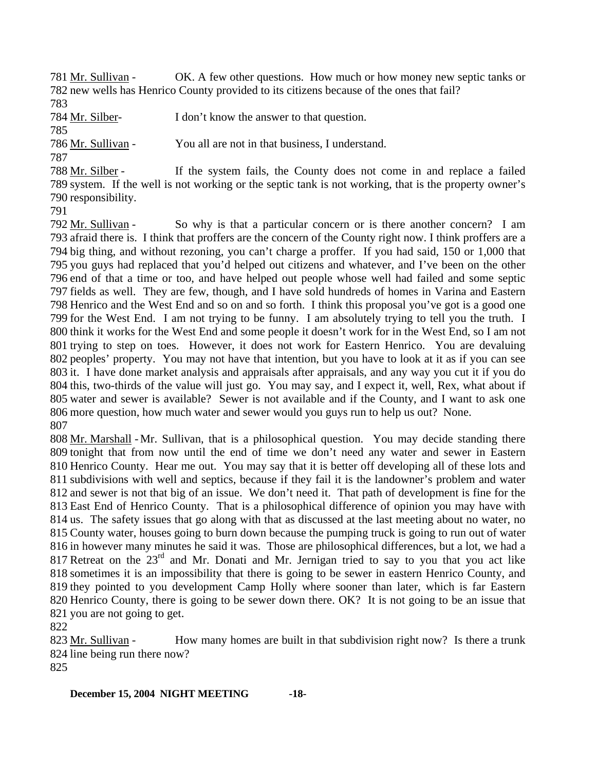OK. A few other questions. How much or how money new septic tanks or 782 new wells has Henrico County provided to its citizens because of the ones that fail? 781 Mr. Sullivan -

783

784 Mr. Silber- I don't know the answer to that question.

785

786 Mr. Sullivan - You all are not in that business, I understand.

787

If the system fails, the County does not come in and replace a failed 789 system. If the well is not working or the septic tank is not working, that is the property owner's 790 responsibility. 788 Mr. Silber -

791

So why is that a particular concern or is there another concern? I am 793 afraid there is. I think that proffers are the concern of the County right now. I think proffers are a 794 big thing, and without rezoning, you can't charge a proffer. If you had said, 150 or 1,000 that 795 you guys had replaced that you'd helped out citizens and whatever, and I've been on the other 796 end of that a time or too, and have helped out people whose well had failed and some septic 797 fields as well. They are few, though, and I have sold hundreds of homes in Varina and Eastern 798 Henrico and the West End and so on and so forth. I think this proposal you've got is a good one 799 for the West End. I am not trying to be funny. I am absolutely trying to tell you the truth. I 800 think it works for the West End and some people it doesn't work for in the West End, so I am not 801 trying to step on toes. However, it does not work for Eastern Henrico. You are devaluing 802 peoples' property. You may not have that intention, but you have to look at it as if you can see 803 it. I have done market analysis and appraisals after appraisals, and any way you cut it if you do 804 this, two-thirds of the value will just go. You may say, and I expect it, well, Rex, what about if 805 water and sewer is available? Sewer is not available and if the County, and I want to ask one 806 more question, how much water and sewer would you guys run to help us out? None. 792 Mr. Sullivan -807

808 Mr. Marshall - Mr. Sullivan, that is a philosophical question. You may decide standing there 809 tonight that from now until the end of time we don't need any water and sewer in Eastern 810 Henrico County. Hear me out. You may say that it is better off developing all of these lots and 811 subdivisions with well and septics, because if they fail it is the landowner's problem and water 812 and sewer is not that big of an issue. We don't need it. That path of development is fine for the 813 East End of Henrico County. That is a philosophical difference of opinion you may have with 814 us. The safety issues that go along with that as discussed at the last meeting about no water, no 815 County water, houses going to burn down because the pumping truck is going to run out of water 816 in however many minutes he said it was. Those are philosophical differences, but a lot, we had a 817 Retreat on the  $23<sup>rd</sup>$  and Mr. Donati and Mr. Jernigan tried to say to you that you act like 818 sometimes it is an impossibility that there is going to be sewer in eastern Henrico County, and 819 they pointed to you development Camp Holly where sooner than later, which is far Eastern 820 Henrico County, there is going to be sewer down there. OK? It is not going to be an issue that 821 you are not going to get.

822

How many homes are built in that subdivision right now? Is there a trunk 824 line being run there now? 823 Mr. Sullivan -

825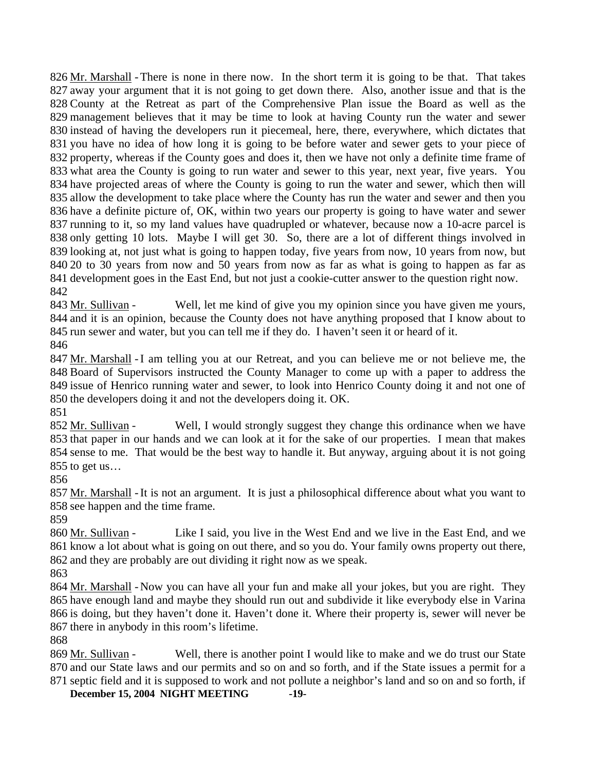826 Mr. Marshall - There is none in there now. In the short term it is going to be that. That takes 827 away your argument that it is not going to get down there. Also, another issue and that is the 828 County at the Retreat as part of the Comprehensive Plan issue the Board as well as the 829 management believes that it may be time to look at having County run the water and sewer 830 instead of having the developers run it piecemeal, here, there, everywhere, which dictates that 831 you have no idea of how long it is going to be before water and sewer gets to your piece of 832 property, whereas if the County goes and does it, then we have not only a definite time frame of 833 what area the County is going to run water and sewer to this year, next year, five years. You 834 have projected areas of where the County is going to run the water and sewer, which then will 835 allow the development to take place where the County has run the water and sewer and then you 836 have a definite picture of, OK, within two years our property is going to have water and sewer 837 running to it, so my land values have quadrupled or whatever, because now a 10-acre parcel is 838 only getting 10 lots. Maybe I will get 30. So, there are a lot of different things involved in 839 looking at, not just what is going to happen today, five years from now, 10 years from now, but 840 20 to 30 years from now and 50 years from now as far as what is going to happen as far as 841 development goes in the East End, but not just a cookie-cutter answer to the question right now. 842

Well, let me kind of give you my opinion since you have given me yours, 844 and it is an opinion, because the County does not have anything proposed that I know about to 845 run sewer and water, but you can tell me if they do. I haven't seen it or heard of it. 843 Mr. Sullivan -

846

847 Mr. Marshall - I am telling you at our Retreat, and you can believe me or not believe me, the 848 Board of Supervisors instructed the County Manager to come up with a paper to address the 849 issue of Henrico running water and sewer, to look into Henrico County doing it and not one of 850 the developers doing it and not the developers doing it. OK.

851

Well, I would strongly suggest they change this ordinance when we have 853 that paper in our hands and we can look at it for the sake of our properties. I mean that makes 854 sense to me. That would be the best way to handle it. But anyway, arguing about it is not going 855 to get us... 852 Mr. Sullivan -

856

857 Mr. Marshall - It is not an argument. It is just a philosophical difference about what you want to 858 see happen and the time frame.

859

Like I said, you live in the West End and we live in the East End, and we 861 know a lot about what is going on out there, and so you do. Your family owns property out there, 862 and they are probably are out dividing it right now as we speak. 860 Mr. Sullivan -

863

864 Mr. Marshall - Now you can have all your fun and make all your jokes, but you are right. They 865 have enough land and maybe they should run out and subdivide it like everybody else in Varina 866 is doing, but they haven't done it. Haven't done it. Where their property is, sewer will never be 867 there in anybody in this room's lifetime.

868

Well, there is another point I would like to make and we do trust our State 870 and our State laws and our permits and so on and so forth, and if the State issues a permit for a 869 Mr. Sullivan -

**December 15, 2004 NIGHT MEETING -19-** 871 septic field and it is supposed to work and not pollute a neighbor's land and so on and so forth, if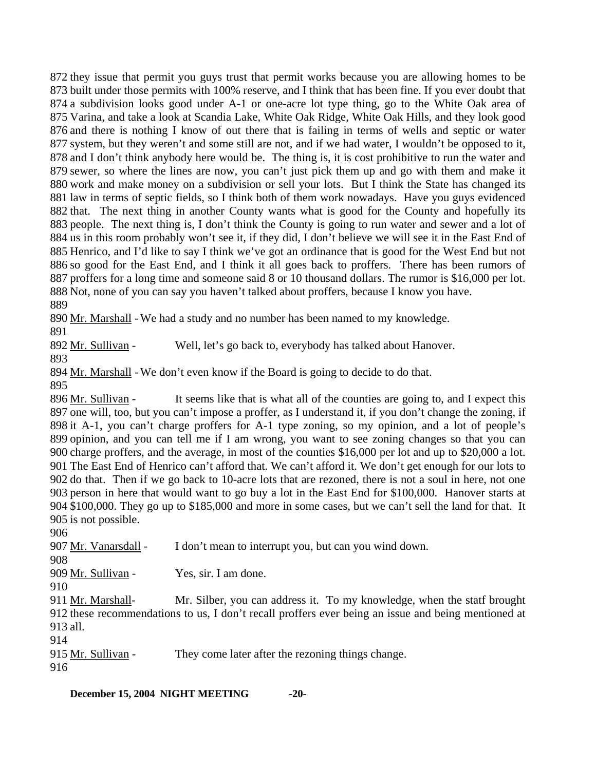they issue that permit you guys trust that permit works because you are allowing homes to be built under those permits with 100% reserve, and I think that has been fine. If you ever doubt that a subdivision looks good under A-1 or one-acre lot type thing, go to the White Oak area of Varina, and take a look at Scandia Lake, White Oak Ridge, White Oak Hills, and they look good and there is nothing I know of out there that is failing in terms of wells and septic or water system, but they weren't and some still are not, and if we had water, I wouldn't be opposed to it, and I don't think anybody here would be. The thing is, it is cost prohibitive to run the water and sewer, so where the lines are now, you can't just pick them up and go with them and make it work and make money on a subdivision or sell your lots. But I think the State has changed its law in terms of septic fields, so I think both of them work nowadays. Have you guys evidenced that. The next thing in another County wants what is good for the County and hopefully its people. The next thing is, I don't think the County is going to run water and sewer and a lot of us in this room probably won't see it, if they did, I don't believe we will see it in the East End of Henrico, and I'd like to say I think we've got an ordinance that is good for the West End but not so good for the East End, and I think it all goes back to proffers. There has been rumors of proffers for a long time and someone said 8 or 10 thousand dollars. The rumor is \$16,000 per lot. Not, none of you can say you haven't talked about proffers, because I know you have. 889

890 Mr. Marshall - We had a study and no number has been named to my knowledge.

891

892 Mr. Sullivan - Well, let's go back to, everybody has talked about Hanover.

893

894 Mr. Marshall - We don't even know if the Board is going to decide to do that.

895

It seems like that is what all of the counties are going to, and I expect this 897 one will, too, but you can't impose a proffer, as I understand it, if you don't change the zoning, if 898 it A-1, you can't charge proffers for A-1 type zoning, so my opinion, and a lot of people's 899 opinion, and you can tell me if I am wrong, you want to see zoning changes so that you can 900 charge proffers, and the average, in most of the counties \$16,000 per lot and up to \$20,000 a lot. 901 The East End of Henrico can't afford that. We can't afford it. We don't get enough for our lots to 902 do that. Then if we go back to 10-acre lots that are rezoned, there is not a soul in here, not one 903 person in here that would want to go buy a lot in the East End for \$100,000. Hanover starts at 904 \$100,000. They go up to \$185,000 and more in some cases, but we can't sell the land for that. It 905 is not possible. 896 Mr. Sullivan -

906

907 Mr. Vanarsdall - I don't mean to interrupt you, but can you wind down.

908

909 Mr. Sullivan - Yes, sir. I am done.

910

Mr. Silber, you can address it. To my knowledge, when the statf brought 912 these recommendations to us, I don't recall proffers ever being an issue and being mentioned at 913 all. 911 Mr. Marshall-

914

915 Mr. Sullivan - They come later after the rezoning things change. 916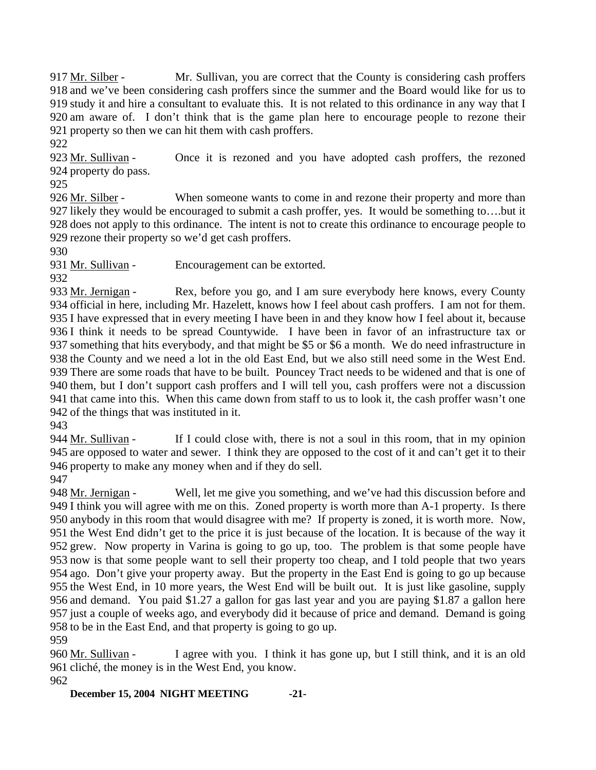Mr. Sullivan, you are correct that the County is considering cash proffers 918 and we've been considering cash proffers since the summer and the Board would like for us to 919 study it and hire a consultant to evaluate this. It is not related to this ordinance in any way that I 920 am aware of. I don't think that is the game plan here to encourage people to rezone their 921 property so then we can hit them with cash proffers. 917 Mr. Silber -

922

Once it is rezoned and you have adopted cash proffers, the rezoned 924 property do pass. 923 Mr. Sullivan -

925

When someone wants to come in and rezone their property and more than 927 likely they would be encouraged to submit a cash proffer, yes. It would be something to...but it 928 does not apply to this ordinance. The intent is not to create this ordinance to encourage people to 929 rezone their property so we'd get cash proffers. 926 Mr. Silber -

930

931 Mr. Sullivan - Encouragement can be extorted.

932

Rex, before you go, and I am sure everybody here knows, every County 934 official in here, including Mr. Hazelett, knows how I feel about cash proffers. I am not for them. 935 I have expressed that in every meeting I have been in and they know how I feel about it, because 936 I think it needs to be spread Countywide. I have been in favor of an infrastructure tax or 937 something that hits everybody, and that might be \$5 or \$6 a month. We do need infrastructure in 938 the County and we need a lot in the old East End, but we also still need some in the West End. 939 There are some roads that have to be built. Pouncey Tract needs to be widened and that is one of 940 them, but I don't support cash proffers and I will tell you, cash proffers were not a discussion 941 that came into this. When this came down from staff to us to look it, the cash proffer wasn't one 942 of the things that was instituted in it. 933 Mr. Jernigan -

943

If I could close with, there is not a soul in this room, that in my opinion 945 are opposed to water and sewer. I think they are opposed to the cost of it and can't get it to their 946 property to make any money when and if they do sell. 944 Mr. Sullivan -

947

Well, let me give you something, and we've had this discussion before and 949 I think you will agree with me on this. Zoned property is worth more than A-1 property. Is there 950 anybody in this room that would disagree with me? If property is zoned, it is worth more. Now, 951 the West End didn't get to the price it is just because of the location. It is because of the way it 952 grew. Now property in Varina is going to go up, too. The problem is that some people have 953 now is that some people want to sell their property too cheap, and I told people that two years 954 ago. Don't give your property away. But the property in the East End is going to go up because 955 the West End, in 10 more years, the West End will be built out. It is just like gasoline, supply 956 and demand. You paid \$1.27 a gallon for gas last year and you are paying \$1.87 a gallon here 957 just a couple of weeks ago, and everybody did it because of price and demand. Demand is going 958 to be in the East End, and that property is going to go up. 948 Mr. Jernigan -

959

I agree with you. I think it has gone up, but I still think, and it is an old 961 cliché, the money is in the West End, you know. 960 Mr. Sullivan -

962

**December 15, 2004 NIGHT MEETING -21-**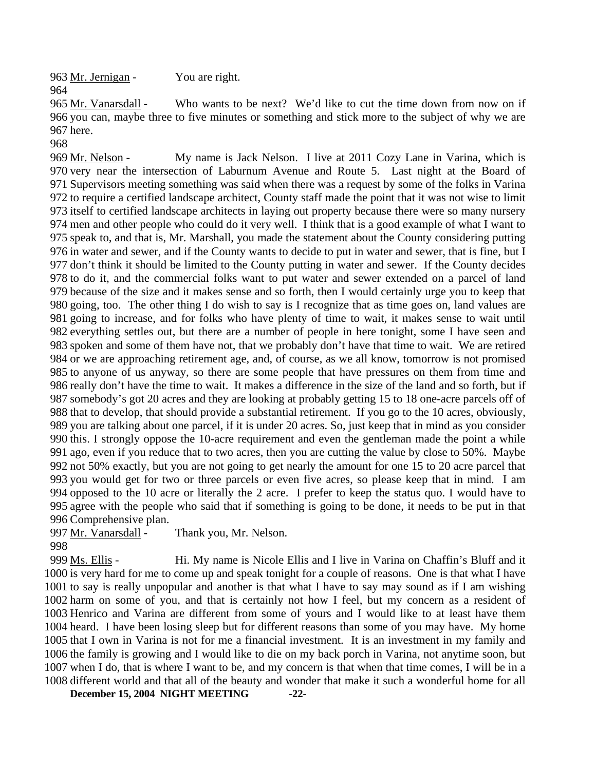963 Mr. Jernigan - You are right. 964

Who wants to be next? We'd like to cut the time down from now on if 966 you can, maybe three to five minutes or something and stick more to the subject of why we are 967 here. 965 Mr. Vanarsdall -

968

My name is Jack Nelson. I live at 2011 Cozy Lane in Varina, which is 970 very near the intersection of Laburnum Avenue and Route 5. Last night at the Board of 971 Supervisors meeting something was said when there was a request by some of the folks in Varina 972 to require a certified landscape architect, County staff made the point that it was not wise to limit 973 itself to certified landscape architects in laying out property because there were so many nursery 974 men and other people who could do it very well. I think that is a good example of what I want to 975 speak to, and that is, Mr. Marshall, you made the statement about the County considering putting 976 in water and sewer, and if the County wants to decide to put in water and sewer, that is fine, but I 977 don't think it should be limited to the County putting in water and sewer. If the County decides 978 to do it, and the commercial folks want to put water and sewer extended on a parcel of land 979 because of the size and it makes sense and so forth, then I would certainly urge you to keep that 980 going, too. The other thing I do wish to say is I recognize that as time goes on, land values are 981 going to increase, and for folks who have plenty of time to wait, it makes sense to wait until 982 everything settles out, but there are a number of people in here tonight, some I have seen and 983 spoken and some of them have not, that we probably don't have that time to wait. We are retired 984 or we are approaching retirement age, and, of course, as we all know, tomorrow is not promised 985 to anyone of us anyway, so there are some people that have pressures on them from time and 986 really don't have the time to wait. It makes a difference in the size of the land and so forth, but if 987 somebody's got 20 acres and they are looking at probably getting 15 to 18 one-acre parcels off of 988 that to develop, that should provide a substantial retirement. If you go to the 10 acres, obviously, 989 you are talking about one parcel, if it is under 20 acres. So, just keep that in mind as you consider 990 this. I strongly oppose the 10-acre requirement and even the gentleman made the point a while 991 ago, even if you reduce that to two acres, then you are cutting the value by close to 50%. Maybe 992 not 50% exactly, but you are not going to get nearly the amount for one 15 to 20 acre parcel that 993 you would get for two or three parcels or even five acres, so please keep that in mind. I am 994 opposed to the 10 acre or literally the 2 acre. I prefer to keep the status quo. I would have to 995 agree with the people who said that if something is going to be done, it needs to be put in that 996 Comprehensive plan. 969 Mr. Nelson -

997 Mr. Vanarsdall - Thank you, Mr. Nelson.

998

Hi. My name is Nicole Ellis and I live in Varina on Chaffin's Bluff and it 1000 is very hard for me to come up and speak tonight for a couple of reasons. One is that what I have 1001 to say is really unpopular and another is that what I have to say may sound as if I am wishing 1002 harm on some of you, and that is certainly not how I feel, but my concern as a resident of 1003 Henrico and Varina are different from some of yours and I would like to at least have them 1004 heard. I have been losing sleep but for different reasons than some of you may have. My home 1005 that I own in Varina is not for me a financial investment. It is an investment in my family and 1006 the family is growing and I would like to die on my back porch in Varina, not anytime soon, but 1007 when I do, that is where I want to be, and my concern is that when that time comes, I will be in a 1008 different world and that all of the beauty and wonder that make it such a wonderful home for all 999 Ms. Ellis -

**December 15, 2004 NIGHT MEETING -22-**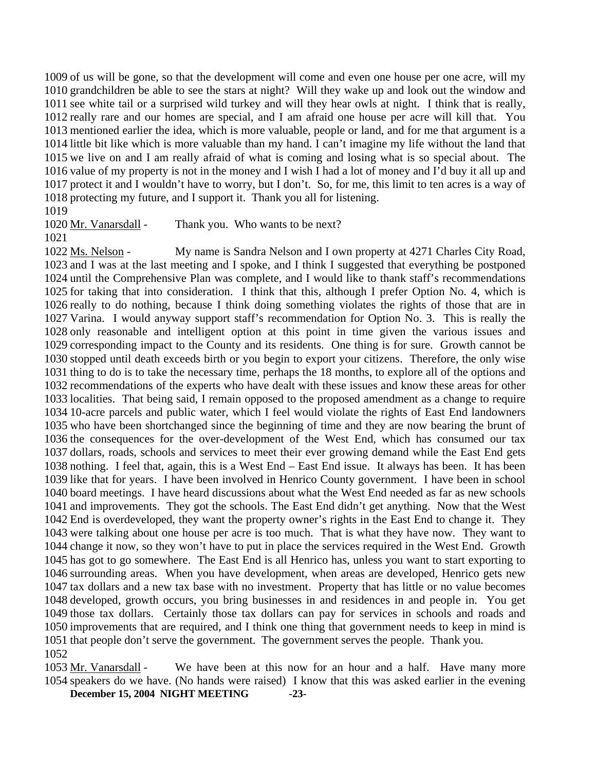of us will be gone, so that the development will come and even one house per one acre, will my grandchildren be able to see the stars at night? Will they wake up and look out the window and see white tail or a surprised wild turkey and will they hear owls at night. I think that is really, 1012 really rare and our homes are special, and I am afraid one house per acre will kill that. You mentioned earlier the idea, which is more valuable, people or land, and for me that argument is a little bit like which is more valuable than my hand. I can't imagine my life without the land that we live on and I am really afraid of what is coming and losing what is so special about. The value of my property is not in the money and I wish I had a lot of money and I'd buy it all up and protect it and I wouldn't have to worry, but I don't. So, for me, this limit to ten acres is a way of protecting my future, and I support it. Thank you all for listening.

1019

1020 Mr. Vanarsdall - Thank you. Who wants to be next?

1021

My name is Sandra Nelson and I own property at 4271 Charles City Road, 1023 and I was at the last meeting and I spoke, and I think I suggested that everything be postponed 1024 until the Comprehensive Plan was complete, and I would like to thank staff's recommendations 1025 for taking that into consideration. I think that this, although I prefer Option No. 4, which is 1026 really to do nothing, because I think doing something violates the rights of those that are in 1027 Varina. I would anyway support staff's recommendation for Option No. 3. This is really the 1028 only reasonable and intelligent option at this point in time given the various issues and 1029 corresponding impact to the County and its residents. One thing is for sure. Growth cannot be 1030 stopped until death exceeds birth or you begin to export your citizens. Therefore, the only wise 1031 thing to do is to take the necessary time, perhaps the 18 months, to explore all of the options and 1032 recommendations of the experts who have dealt with these issues and know these areas for other 1033 localities. That being said, I remain opposed to the proposed amendment as a change to require 1034 10-acre parcels and public water, which I feel would violate the rights of East End landowners 1035 who have been shortchanged since the beginning of time and they are now bearing the brunt of 1036 the consequences for the over-development of the West End, which has consumed our tax 1037 dollars, roads, schools and services to meet their ever growing demand while the East End gets 1038 nothing. I feel that, again, this is a West End – East End issue. It always has been. It has been 1039 like that for years. I have been involved in Henrico County government. I have been in school 1040 board meetings. I have heard discussions about what the West End needed as far as new schools 1041 and improvements. They got the schools. The East End didn't get anything. Now that the West 1042 End is overdeveloped, they want the property owner's rights in the East End to change it. They 1043 were talking about one house per acre is too much. That is what they have now. They want to 1044 change it now, so they won't have to put in place the services required in the West End. Growth 1045 has got to go somewhere. The East End is all Henrico has, unless you want to start exporting to 1046 surrounding areas. When you have development, when areas are developed, Henrico gets new 1047 tax dollars and a new tax base with no investment. Property that has little or no value becomes 1048 developed, growth occurs, you bring businesses in and residences in and people in. You get 1049 those tax dollars. Certainly those tax dollars can pay for services in schools and roads and 1050 improvements that are required, and I think one thing that government needs to keep in mind is 1051 that people don't serve the government. The government serves the people. Thank you. 1022 Ms. Nelson -1052

**December 15, 2004 NIGHT MEETING -23-** We have been at this now for an hour and a half. Have many more 1054 speakers do we have. (No hands were raised) I know that this was asked earlier in the evening 1053 Mr. Vanarsdall -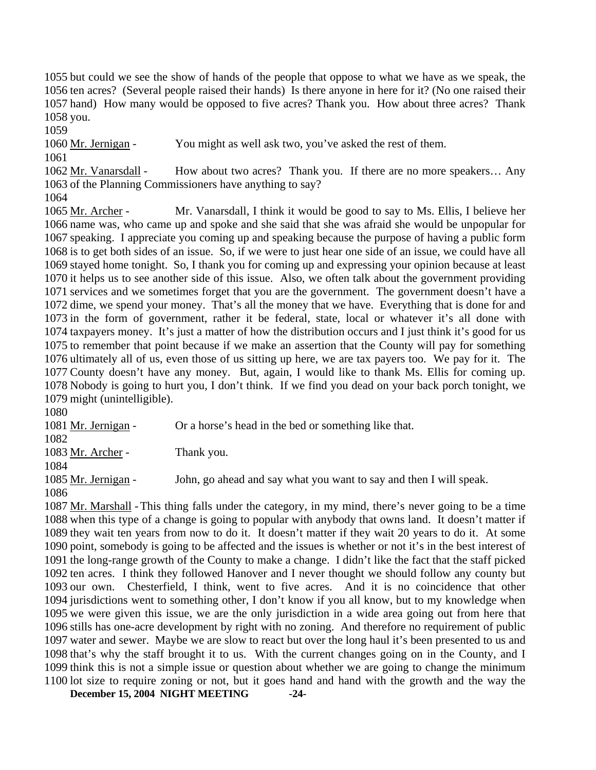but could we see the show of hands of the people that oppose to what we have as we speak, the ten acres? (Several people raised their hands) Is there anyone in here for it? (No one raised their hand) How many would be opposed to five acres? Thank you. How about three acres? Thank 1058 you.

1059

1060 Mr. Jernigan - You might as well ask two, you've asked the rest of them.

1061

How about two acres? Thank you. If there are no more speakers... Any 1062 Mr. Vanarsdall -

1063 of the Planning Commissioners have anything to say?

1064

Mr. Vanarsdall, I think it would be good to say to Ms. Ellis, I believe her 1066 name was, who came up and spoke and she said that she was afraid she would be unpopular for 1067 speaking. I appreciate you coming up and speaking because the purpose of having a public form 1068 is to get both sides of an issue. So, if we were to just hear one side of an issue, we could have all 1069 stayed home tonight. So, I thank you for coming up and expressing your opinion because at least 1070 it helps us to see another side of this issue. Also, we often talk about the government providing 1071 services and we sometimes forget that you are the government. The government doesn't have a 1072 dime, we spend your money. That's all the money that we have. Everything that is done for and 1073 in the form of government, rather it be federal, state, local or whatever it's all done with 1074 taxpayers money. It's just a matter of how the distribution occurs and I just think it's good for us 1075 to remember that point because if we make an assertion that the County will pay for something 1076 ultimately all of us, even those of us sitting up here, we are tax payers too. We pay for it. The 1077 County doesn't have any money. But, again, I would like to thank Ms. Ellis for coming up. 1078 Nobody is going to hurt you, I don't think. If we find you dead on your back porch tonight, we 1079 might (unintelligible). 1065 Mr. Archer -

1080

1081 Mr. Jernigan - Or a horse's head in the bed or something like that. 1082 1083 Mr. Archer - Thank you. 1084 1085 Mr. Jernigan - John, go ahead and say what you want to say and then I will speak. 1086

1087 Mr. Marshall - This thing falls under the category, in my mind, there's never going to be a time 1088 when this type of a change is going to popular with anybody that owns land. It doesn't matter if 1089 they wait ten years from now to do it. It doesn't matter if they wait 20 years to do it. At some 1090 point, somebody is going to be affected and the issues is whether or not it's in the best interest of 1091 the long-range growth of the County to make a change. I didn't like the fact that the staff picked 1092 ten acres. I think they followed Hanover and I never thought we should follow any county but 1093 our own. Chesterfield, I think, went to five acres. And it is no coincidence that other 1094 jurisdictions went to something other, I don't know if you all know, but to my knowledge when 1095 we were given this issue, we are the only jurisdiction in a wide area going out from here that 1096 stills has one-acre development by right with no zoning. And therefore no requirement of public 1097 water and sewer. Maybe we are slow to react but over the long haul it's been presented to us and 1098 that's why the staff brought it to us. With the current changes going on in the County, and I 1099 think this is not a simple issue or question about whether we are going to change the minimum 1100 lot size to require zoning or not, but it goes hand and hand with the growth and the way the

**December 15, 2004 NIGHT MEETING -24-**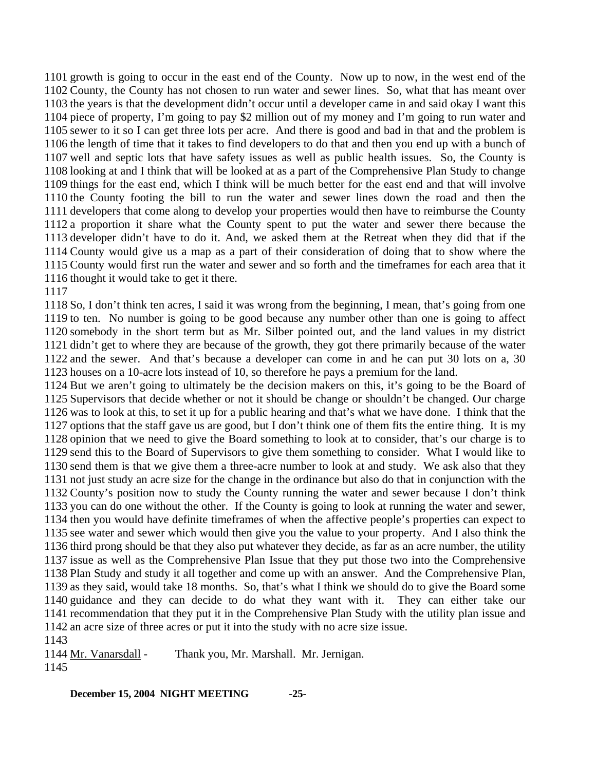growth is going to occur in the east end of the County. Now up to now, in the west end of the County, the County has not chosen to run water and sewer lines. So, what that has meant over the years is that the development didn't occur until a developer came in and said okay I want this piece of property, I'm going to pay \$2 million out of my money and I'm going to run water and sewer to it so I can get three lots per acre. And there is good and bad in that and the problem is the length of time that it takes to find developers to do that and then you end up with a bunch of well and septic lots that have safety issues as well as public health issues. So, the County is looking at and I think that will be looked at as a part of the Comprehensive Plan Study to change things for the east end, which I think will be much better for the east end and that will involve the County footing the bill to run the water and sewer lines down the road and then the developers that come along to develop your properties would then have to reimburse the County a proportion it share what the County spent to put the water and sewer there because the developer didn't have to do it. And, we asked them at the Retreat when they did that if the County would give us a map as a part of their consideration of doing that to show where the County would first run the water and sewer and so forth and the timeframes for each area that it thought it would take to get it there.

 So, I don't think ten acres, I said it was wrong from the beginning, I mean, that's going from one to ten. No number is going to be good because any number other than one is going to affect somebody in the short term but as Mr. Silber pointed out, and the land values in my district didn't get to where they are because of the growth, they got there primarily because of the water and the sewer. And that's because a developer can come in and he can put 30 lots on a, 30 houses on a 10-acre lots instead of 10, so therefore he pays a premium for the land.

 But we aren't going to ultimately be the decision makers on this, it's going to be the Board of Supervisors that decide whether or not it should be change or shouldn't be changed. Our charge was to look at this, to set it up for a public hearing and that's what we have done. I think that the options that the staff gave us are good, but I don't think one of them fits the entire thing. It is my opinion that we need to give the Board something to look at to consider, that's our charge is to send this to the Board of Supervisors to give them something to consider. What I would like to send them is that we give them a three-acre number to look at and study. We ask also that they not just study an acre size for the change in the ordinance but also do that in conjunction with the County's position now to study the County running the water and sewer because I don't think you can do one without the other. If the County is going to look at running the water and sewer, then you would have definite timeframes of when the affective people's properties can expect to see water and sewer which would then give you the value to your property. And I also think the third prong should be that they also put whatever they decide, as far as an acre number, the utility issue as well as the Comprehensive Plan Issue that they put those two into the Comprehensive Plan Study and study it all together and come up with an answer. And the Comprehensive Plan, as they said, would take 18 months. So, that's what I think we should do to give the Board some guidance and they can decide to do what they want with it. They can either take our recommendation that they put it in the Comprehensive Plan Study with the utility plan issue and an acre size of three acres or put it into the study with no acre size issue. 

1144 Mr. Vanarsdall - Thank you, Mr. Marshall. Mr. Jernigan.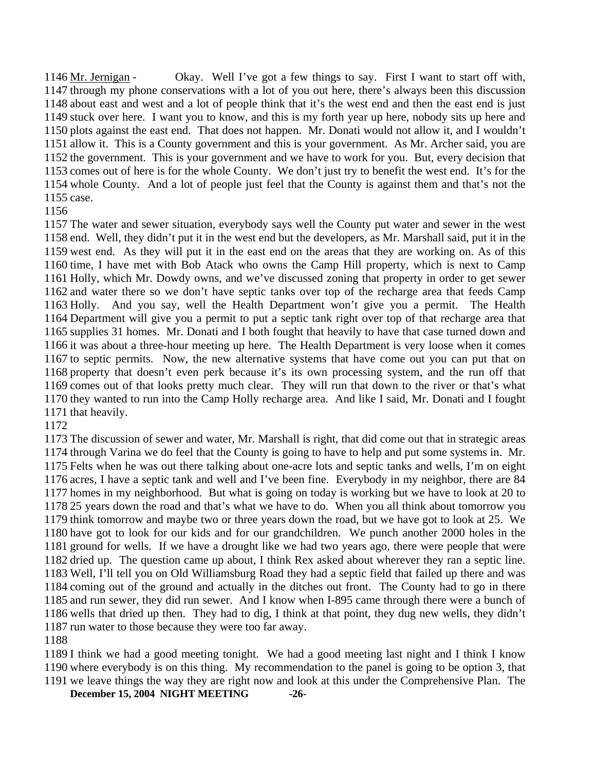Okay. Well I've got a few things to say. First I want to start off with, 1147 through my phone conservations with a lot of you out here, there's always been this discussion 1148 about east and west and a lot of people think that it's the west end and then the east end is just 1149 stuck over here. I want you to know, and this is my forth year up here, nobody sits up here and 1150 plots against the east end. That does not happen. Mr. Donati would not allow it, and I wouldn't 1151 allow it. This is a County government and this is your government. As Mr. Archer said, you are 1152 the government. This is your government and we have to work for you. But, every decision that 1153 comes out of here is for the whole County. We don't just try to benefit the west end. It's for the 1154 whole County. And a lot of people just feel that the County is against them and that's not the 1155 case. 1146 Mr. Jernigan -

 The water and sewer situation, everybody says well the County put water and sewer in the west end. Well, they didn't put it in the west end but the developers, as Mr. Marshall said, put it in the west end. As they will put it in the east end on the areas that they are working on. As of this time, I have met with Bob Atack who owns the Camp Hill property, which is next to Camp Holly, which Mr. Dowdy owns, and we've discussed zoning that property in order to get sewer and water there so we don't have septic tanks over top of the recharge area that feeds Camp Holly. And you say, well the Health Department won't give you a permit. The Health Department will give you a permit to put a septic tank right over top of that recharge area that supplies 31 homes. Mr. Donati and I both fought that heavily to have that case turned down and it was about a three-hour meeting up here. The Health Department is very loose when it comes to septic permits. Now, the new alternative systems that have come out you can put that on property that doesn't even perk because it's its own processing system, and the run off that comes out of that looks pretty much clear. They will run that down to the river or that's what they wanted to run into the Camp Holly recharge area. And like I said, Mr. Donati and I fought that heavily.

 The discussion of sewer and water, Mr. Marshall is right, that did come out that in strategic areas through Varina we do feel that the County is going to have to help and put some systems in. Mr. Felts when he was out there talking about one-acre lots and septic tanks and wells, I'm on eight acres, I have a septic tank and well and I've been fine. Everybody in my neighbor, there are 84 homes in my neighborhood. But what is going on today is working but we have to look at 20 to 25 years down the road and that's what we have to do. When you all think about tomorrow you think tomorrow and maybe two or three years down the road, but we have got to look at 25. We have got to look for our kids and for our grandchildren. We punch another 2000 holes in the ground for wells. If we have a drought like we had two years ago, there were people that were dried up. The question came up about, I think Rex asked about wherever they ran a septic line. Well, I'll tell you on Old Williamsburg Road they had a septic field that failed up there and was coming out of the ground and actually in the ditches out front. The County had to go in there and run sewer, they did run sewer. And I know when I-895 came through there were a bunch of wells that dried up then. They had to dig, I think at that point, they dug new wells, they didn't run water to those because they were too far away.

 I think we had a good meeting tonight. We had a good meeting last night and I think I know where everybody is on this thing. My recommendation to the panel is going to be option 3, that we leave things the way they are right now and look at this under the Comprehensive Plan. The

**December 15, 2004 NIGHT MEETING -26-**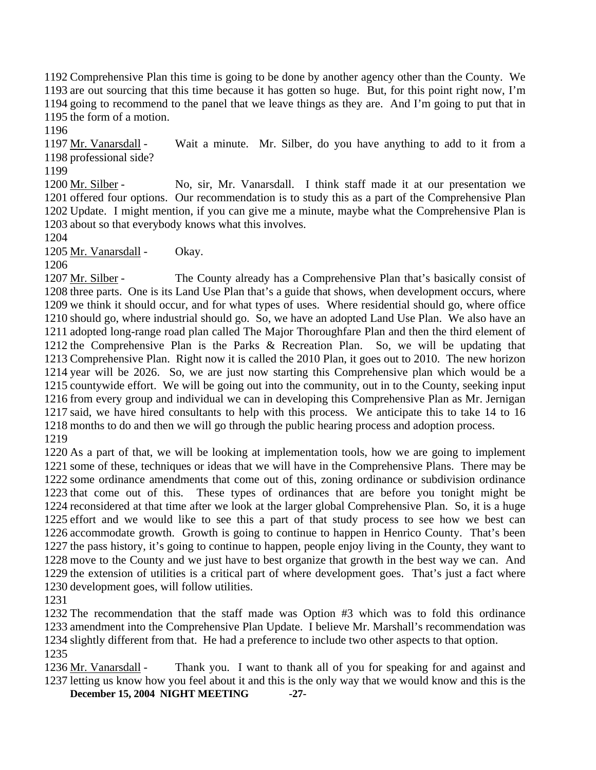Comprehensive Plan this time is going to be done by another agency other than the County. We are out sourcing that this time because it has gotten so huge. But, for this point right now, I'm going to recommend to the panel that we leave things as they are. And I'm going to put that in the form of a motion.

1196

Wait a minute. Mr. Silber, do you have anything to add to it from a 1198 professional side? 1197 Mr. Vanarsdall -

1199

No, sir, Mr. Vanarsdall. I think staff made it at our presentation we 1201 offered four options. Our recommendation is to study this as a part of the Comprehensive Plan 1202 Update. I might mention, if you can give me a minute, maybe what the Comprehensive Plan is 1203 about so that everybody knows what this involves. 1200 Mr. Silber -

1204

1205 Mr. Vanarsdall - Okay.

1206

The County already has a Comprehensive Plan that's basically consist of 1208 three parts. One is its Land Use Plan that's a guide that shows, when development occurs, where 1209 we think it should occur, and for what types of uses. Where residential should go, where office 1210 should go, where industrial should go. So, we have an adopted Land Use Plan. We also have an 1211 adopted long-range road plan called The Major Thoroughfare Plan and then the third element of 1212 the Comprehensive Plan is the Parks  $\&$  Recreation Plan. So, we will be updating that 1213 Comprehensive Plan. Right now it is called the 2010 Plan, it goes out to 2010. The new horizon 1214 year will be 2026. So, we are just now starting this Comprehensive plan which would be a 1215 countywide effort. We will be going out into the community, out in to the County, seeking input 1216 from every group and individual we can in developing this Comprehensive Plan as Mr. Jernigan 1217 said, we have hired consultants to help with this process. We anticipate this to take 14 to 16 1218 months to do and then we will go through the public hearing process and adoption process. 1207 Mr. Silber -1219

 As a part of that, we will be looking at implementation tools, how we are going to implement some of these, techniques or ideas that we will have in the Comprehensive Plans. There may be some ordinance amendments that come out of this, zoning ordinance or subdivision ordinance 1223 that come out of this. reconsidered at that time after we look at the larger global Comprehensive Plan. So, it is a huge effort and we would like to see this a part of that study process to see how we best can accommodate growth. Growth is going to continue to happen in Henrico County. That's been the pass history, it's going to continue to happen, people enjoy living in the County, they want to move to the County and we just have to best organize that growth in the best way we can. And 1229 the extension of utilities is a critical part of where development goes. That's just a fact where development goes, will follow utilities. These types of ordinances that are before you tonight might be

1231

1232 The recommendation that the staff made was Option #3 which was to fold this ordinance 1233 amendment into the Comprehensive Plan Update. I believe Mr. Marshall's recommendation was 1234 slightly different from that. He had a preference to include two other aspects to that option.

1235

**December 15, 2004 NIGHT MEETING -27-** Thank you. I want to thank all of you for speaking for and against and 1237 letting us know how you feel about it and this is the only way that we would know and this is the 1236 Mr. Vanarsdall -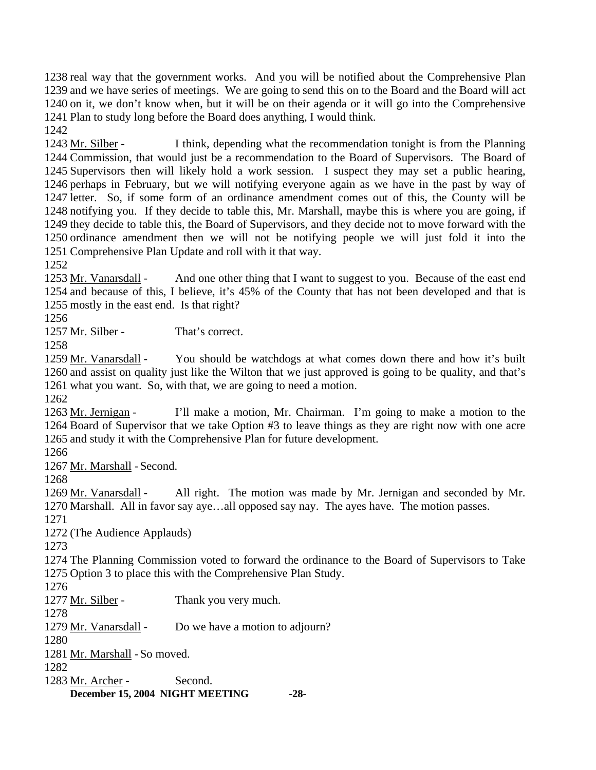real way that the government works. And you will be notified about the Comprehensive Plan and we have series of meetings. We are going to send this on to the Board and the Board will act on it, we don't know when, but it will be on their agenda or it will go into the Comprehensive Plan to study long before the Board does anything, I would think.

1242

I think, depending what the recommendation tonight is from the Planning 1244 Commission, that would just be a recommendation to the Board of Supervisors. The Board of 1245 Supervisors then will likely hold a work session. I suspect they may set a public hearing, 1246 perhaps in February, but we will notifying everyone again as we have in the past by way of 1247 letter. So, if some form of an ordinance amendment comes out of this, the County will be 1248 notifying you. If they decide to table this, Mr. Marshall, maybe this is where you are going, if 1249 they decide to table this, the Board of Supervisors, and they decide not to move forward with the 1250 ordinance amendment then we will not be notifying people we will just fold it into the 1251 Comprehensive Plan Update and roll with it that way. 1243 Mr. Silber -

1252

And one other thing that I want to suggest to you. Because of the east end 1254 and because of this, I believe, it's 45% of the County that has not been developed and that is 1255 mostly in the east end. Is that right? 1253 Mr. Vanarsdall -

1256

1257 Mr. Silber - That's correct.

1258

You should be watchdogs at what comes down there and how it's built 1260 and assist on quality just like the Wilton that we just approved is going to be quality, and that's 1261 what you want. So, with that, we are going to need a motion. 1259 Mr. Vanarsdall -

1262

I'll make a motion, Mr. Chairman. I'm going to make a motion to the 1264 Board of Supervisor that we take Option #3 to leave things as they are right now with one acre 1265 and study it with the Comprehensive Plan for future development. 1263 Mr. Jernigan -

1266

1267 Mr. Marshall - Second.

1268

All right. The motion was made by Mr. Jernigan and seconded by Mr. 1270 Marshall. All in favor say aye...all opposed say nay. The ayes have. The motion passes. 1269 Mr. Vanarsdall -

1271

1272 (The Audience Applauds)

1273

1274 The Planning Commission voted to forward the ordinance to the Board of Supervisors to Take 1275 Option 3 to place this with the Comprehensive Plan Study.

1276

1277 Mr. Silber - Thank you very much.

1278

1279 Mr. Vanarsdall - Do we have a motion to adjourn?

1280

1281 Mr. Marshall - So moved.

1282

**December 15, 2004 NIGHT MEETING -28-**1283 Mr. Archer - Second.